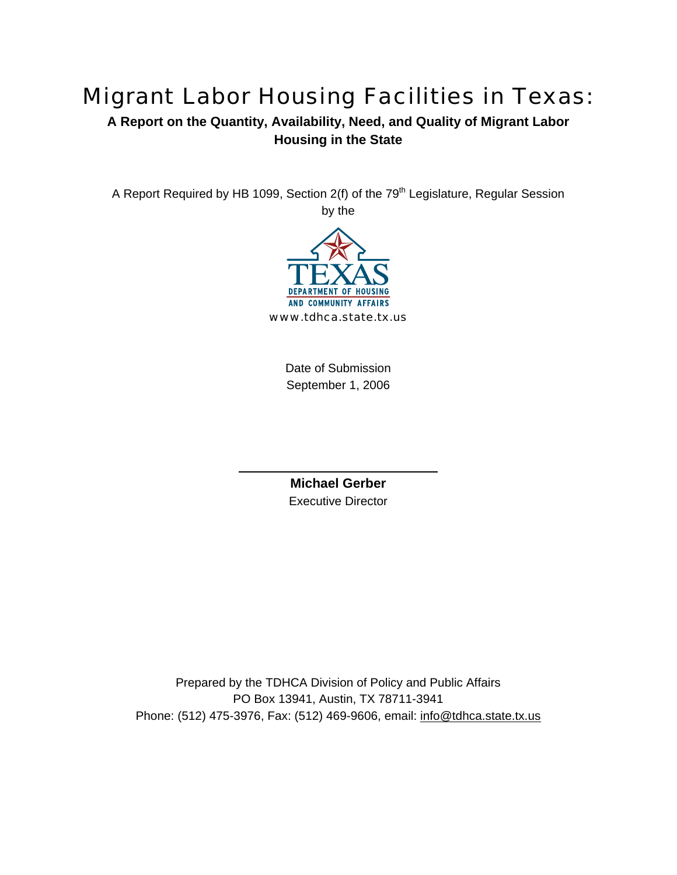# **A Report on the Quantity, Availability, Need, and Quality of Migrant Labor Housing in the State**

A Report Required by HB 1099, Section 2(f) of the 79<sup>th</sup> Legislature, Regular Session by the



Date of Submission September 1, 2006

**Michael Gerber**  Executive Director

Prepared by the TDHCA Division of Policy and Public Affairs PO Box 13941, Austin, TX 78711-3941 Phone: (512) 475-3976, Fax: (512) 469-9606, email: info@tdhca.state.tx.us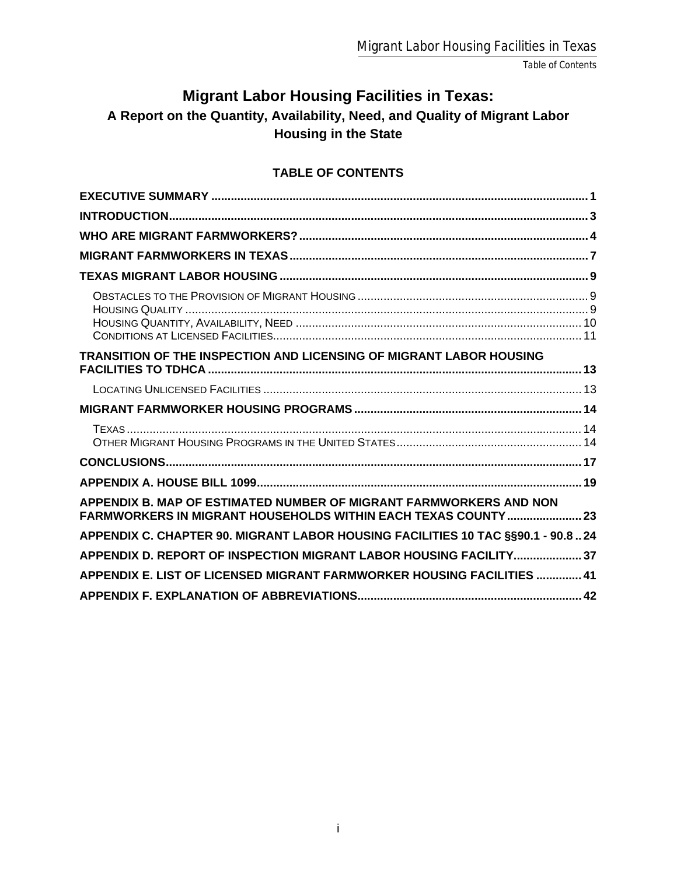# **A Report on the Quantity, Availability, Need, and Quality of Migrant Labor Housing in the State**

## **TABLE OF CONTENTS**

| TRANSITION OF THE INSPECTION AND LICENSING OF MIGRANT LABOR HOUSING                                                                  |  |
|--------------------------------------------------------------------------------------------------------------------------------------|--|
|                                                                                                                                      |  |
|                                                                                                                                      |  |
|                                                                                                                                      |  |
|                                                                                                                                      |  |
|                                                                                                                                      |  |
| APPENDIX B. MAP OF ESTIMATED NUMBER OF MIGRANT FARMWORKERS AND NON<br>FARMWORKERS IN MIGRANT HOUSEHOLDS WITHIN EACH TEXAS COUNTY  23 |  |
| APPENDIX C. CHAPTER 90. MIGRANT LABOR HOUSING FACILITIES 10 TAC §§90.1 - 90.824                                                      |  |
| APPENDIX D. REPORT OF INSPECTION MIGRANT LABOR HOUSING FACILITY 37                                                                   |  |
| APPENDIX E. LIST OF LICENSED MIGRANT FARMWORKER HOUSING FACILITIES  41                                                               |  |
|                                                                                                                                      |  |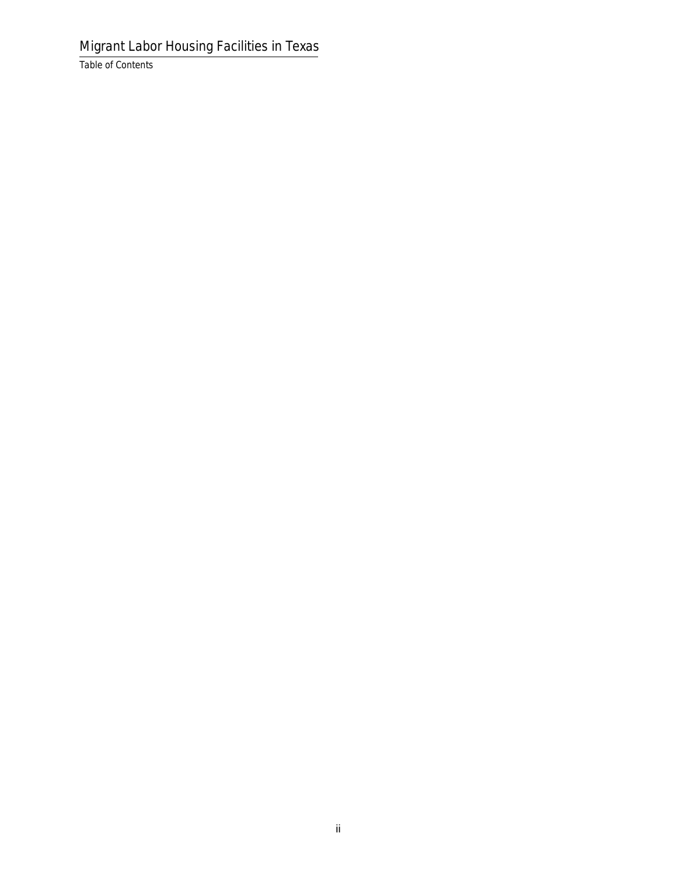*Table of Contents*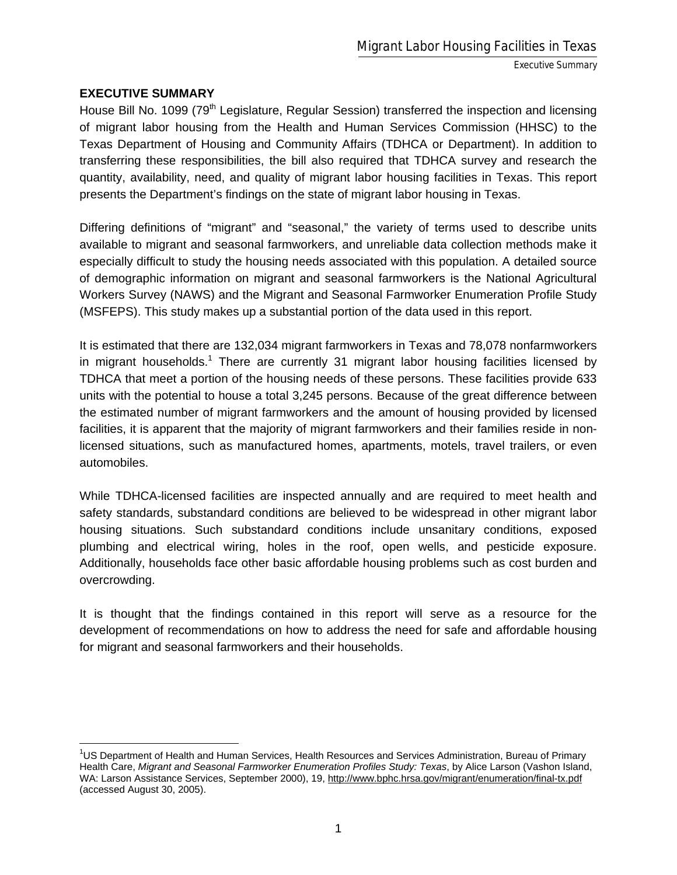#### **EXECUTIVE SUMMARY**

House Bill No. 1099 (79<sup>th</sup> Legislature, Regular Session) transferred the inspection and licensing of migrant labor housing from the Health and Human Services Commission (HHSC) to the Texas Department of Housing and Community Affairs (TDHCA or Department). In addition to transferring these responsibilities, the bill also required that TDHCA survey and research the quantity, availability, need, and quality of migrant labor housing facilities in Texas. This report presents the Department's findings on the state of migrant labor housing in Texas.

Differing definitions of "migrant" and "seasonal," the variety of terms used to describe units available to migrant and seasonal farmworkers, and unreliable data collection methods make it especially difficult to study the housing needs associated with this population. A detailed source of demographic information on migrant and seasonal farmworkers is the National Agricultural Workers Survey (NAWS) and the Migrant and Seasonal Farmworker Enumeration Profile Study (MSFEPS). This study makes up a substantial portion of the data used in this report.

It is estimated that there are 132,034 migrant farmworkers in Texas and 78,078 nonfarmworkers in migrant households.<sup>1</sup> There are currently 31 migrant labor housing facilities licensed by TDHCA that meet a portion of the housing needs of these persons. These facilities provide 633 units with the potential to house a total 3,245 persons. Because of the great difference between the estimated number of migrant farmworkers and the amount of housing provided by licensed facilities, it is apparent that the majority of migrant farmworkers and their families reside in nonlicensed situations, such as manufactured homes, apartments, motels, travel trailers, or even automobiles.

While TDHCA-licensed facilities are inspected annually and are required to meet health and safety standards, substandard conditions are believed to be widespread in other migrant labor housing situations. Such substandard conditions include unsanitary conditions, exposed plumbing and electrical wiring, holes in the roof, open wells, and pesticide exposure. Additionally, households face other basic affordable housing problems such as cost burden and overcrowding.

It is thought that the findings contained in this report will serve as a resource for the development of recommendations on how to address the need for safe and affordable housing for migrant and seasonal farmworkers and their households.

<sup>&</sup>lt;sup>1</sup>US Department of Health and Human Services, Health Resources and Services Administration, Bureau of Primary Health Care, *Migrant and Seasonal Farmworker Enumeration Profiles Study: Texas*, by Alice Larson (Vashon Island, WA: Larson Assistance Services, September 2000), 19, http://www.bphc.hrsa.gov/migrant/enumeration/final-tx.pdf (accessed August 30, 2005).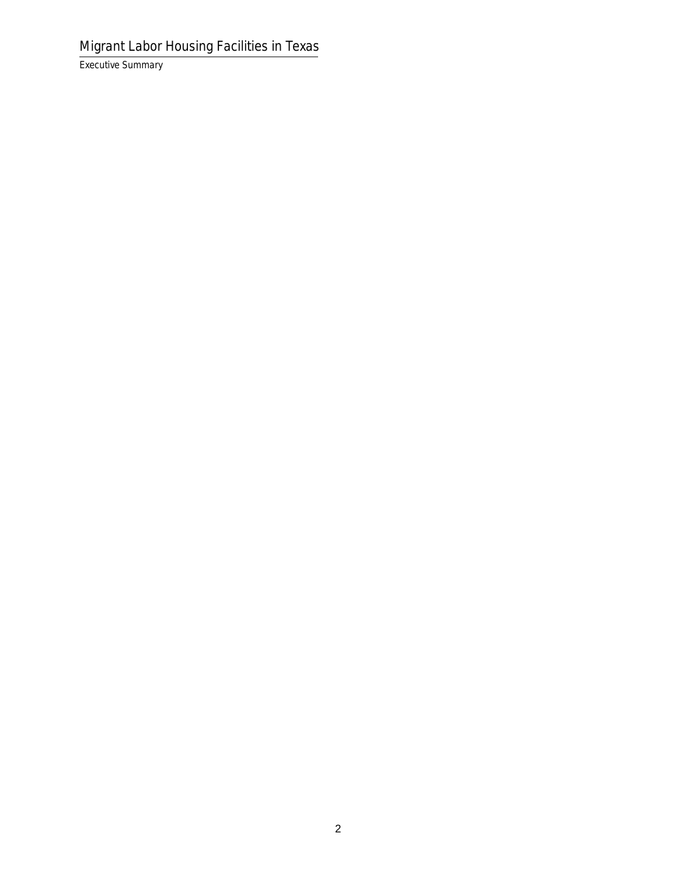*Executive Summary*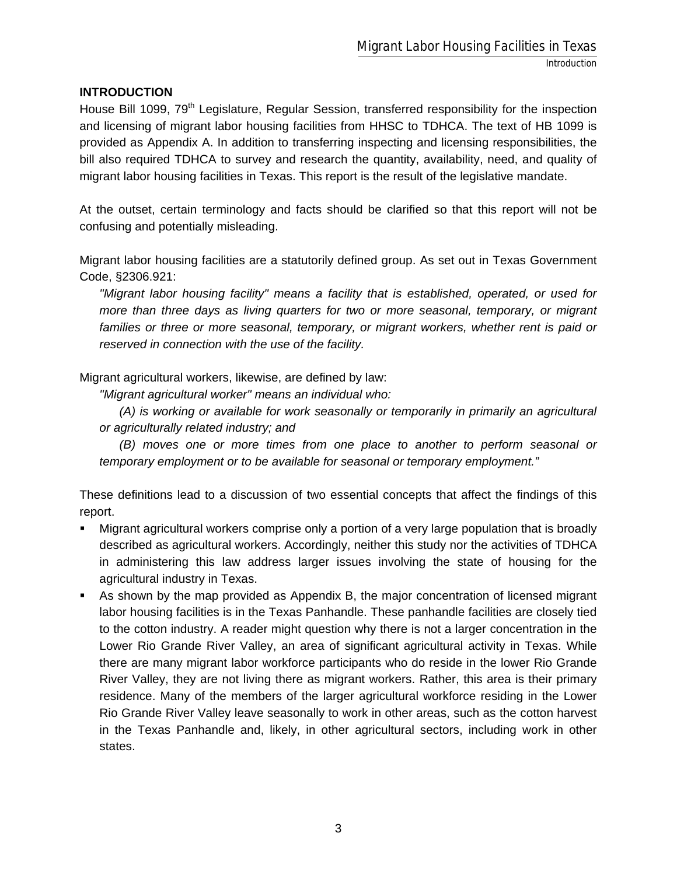#### **INTRODUCTION**

House Bill 1099, 79<sup>th</sup> Legislature, Regular Session, transferred responsibility for the inspection and licensing of migrant labor housing facilities from HHSC to TDHCA. The text of HB 1099 is provided as Appendix A. In addition to transferring inspecting and licensing responsibilities, the bill also required TDHCA to survey and research the quantity, availability, need, and quality of migrant labor housing facilities in Texas. This report is the result of the legislative mandate.

At the outset, certain terminology and facts should be clarified so that this report will not be confusing and potentially misleading.

Migrant labor housing facilities are a statutorily defined group. As set out in Texas Government Code, §2306.921:

*"Migrant labor housing facility" means a facility that is established, operated, or used for more than three days as living quarters for two or more seasonal, temporary, or migrant*  families or three or more seasonal, temporary, or migrant workers, whether rent is paid or *reserved in connection with the use of the facility.* 

Migrant agricultural workers, likewise, are defined by law:

*"Migrant agricultural worker" means an individual who:* 

*(A) is working or available for work seasonally or temporarily in primarily an agricultural or agriculturally related industry; and* 

*(B) moves one or more times from one place to another to perform seasonal or temporary employment or to be available for seasonal or temporary employment."* 

These definitions lead to a discussion of two essential concepts that affect the findings of this report.

- ° Migrant agricultural workers comprise only a portion of a very large population that is broadly described as agricultural workers. Accordingly, neither this study nor the activities of TDHCA in administering this law address larger issues involving the state of housing for the agricultural industry in Texas.
- As shown by the map provided as Appendix B, the major concentration of licensed migrant labor housing facilities is in the Texas Panhandle. These panhandle facilities are closely tied to the cotton industry. A reader might question why there is not a larger concentration in the Lower Rio Grande River Valley, an area of significant agricultural activity in Texas. While there are many migrant labor workforce participants who do reside in the lower Rio Grande River Valley, they are not living there as migrant workers. Rather, this area is their primary residence. Many of the members of the larger agricultural workforce residing in the Lower Rio Grande River Valley leave seasonally to work in other areas, such as the cotton harvest in the Texas Panhandle and, likely, in other agricultural sectors, including work in other states.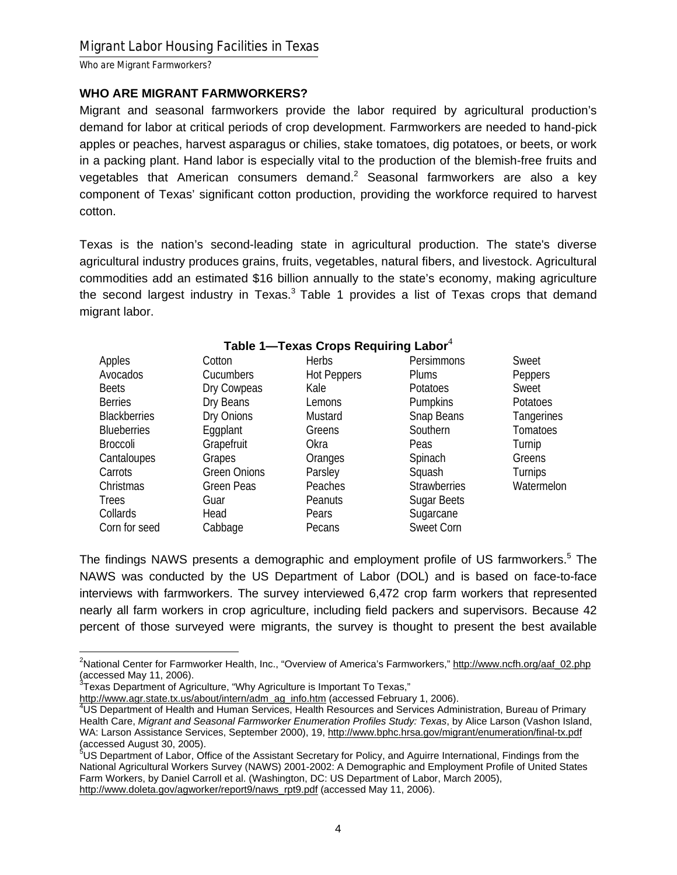#### **WHO ARE MIGRANT FARMWORKERS?**

Migrant and seasonal farmworkers provide the labor required by agricultural production's demand for labor at critical periods of crop development. Farmworkers are needed to hand-pick apples or peaches, harvest asparagus or chilies, stake tomatoes, dig potatoes, or beets, or work in a packing plant. Hand labor is especially vital to the production of the blemish-free fruits and vegetables that American consumers demand.<sup>2</sup> Seasonal farmworkers are also a key component of Texas' significant cotton production, providing the workforce required to harvest cotton.

Texas is the nation's second-leading state in agricultural production. The state's diverse agricultural industry produces grains, fruits, vegetables, natural fibers, and livestock. Agricultural commodities add an estimated \$16 billion annually to the state's economy, making agriculture the second largest industry in Texas. $3$  Table 1 provides a list of Texas crops that demand migrant labor.

| Table 1—Texas Crops Requiring Labor <sup>4</sup> |                     |                |                     |            |
|--------------------------------------------------|---------------------|----------------|---------------------|------------|
| Apples                                           | Cotton              | <b>Herbs</b>   | Persimmons          | Sweet      |
| Avocados                                         | Cucumbers           | Hot Peppers    | <b>Plums</b>        | Peppers    |
| <b>Beets</b>                                     | Dry Cowpeas         | Kale           | Potatoes            | Sweet      |
| <b>Berries</b>                                   | Dry Beans           | Lemons         | <b>Pumpkins</b>     | Potatoes   |
| <b>Blackberries</b>                              | Dry Onions          | Mustard        | Snap Beans          | Tangerines |
| <b>Blueberries</b>                               | Eqqplant            | Greens         | Southern            | Tomatoes   |
| Broccoli                                         | Grapefruit          | Okra           | Peas                | Turnip     |
| Cantaloupes                                      | Grapes              | Oranges        | Spinach             | Greens     |
| Carrots                                          | <b>Green Onions</b> | Parsley        | Squash              | Turnips    |
| Christmas                                        | <b>Green Peas</b>   | Peaches        | <b>Strawberries</b> | Watermelon |
| <b>Trees</b>                                     | Guar                | <b>Peanuts</b> | <b>Sugar Beets</b>  |            |
| Collards                                         | Head                | Pears          | Sugarcane           |            |
| Corn for seed                                    | Cabbage             | Pecans         | <b>Sweet Corn</b>   |            |

## The findings NAWS presents a demographic and employment profile of US farmworkers.<sup>5</sup> The NAWS was conducted by the US Department of Labor (DOL) and is based on face-to-face interviews with farmworkers. The survey interviewed 6,472 crop farm workers that represented nearly all farm workers in crop agriculture, including field packers and supervisors. Because 42 percent of those surveyed were migrants, the survey is thought to present the best available

<sup>&</sup>lt;sup>2</sup>National Center for Farmworker Health, Inc., "Overview of America's Farmworkers," <u>http://www.ncfh.org/aaf\_02.php</u> (accessed May 11, 2006).<br><sup>3</sup>Texas Department of Agriculture, "Why Agriculture is Important To Texas,"

<sup>&</sup>lt;u>http://www.agr.state.tx.us/about/intern/adm\_ag\_info.htm</u> (accessed February 1, 2006).<br><sup>4</sup>US Department of Health and Human Services, Health Resources and Services Administration, Bureau of Primary Health Care, *Migrant and Seasonal Farmworker Enumeration Profiles Study: Texas*, by Alice Larson (Vashon Island, WA: Larson Assistance Services, September 2000), 19, http://www.bphc.hrsa.gov/migrant/enumeration/final-tx.pdf (accessed August 30, 2005).<br><sup>5</sup>US Department of Labor, Office of the Assistant Secretary for Policy, and Aguirre International, Findings from the

National Agricultural Workers Survey (NAWS) 2001-2002: A Demographic and Employment Profile of United States Farm Workers, by Daniel Carroll et al. (Washington, DC: US Department of Labor, March 2005), http://www.doleta.gov/agworker/report9/naws\_rpt9.pdf (accessed May 11, 2006).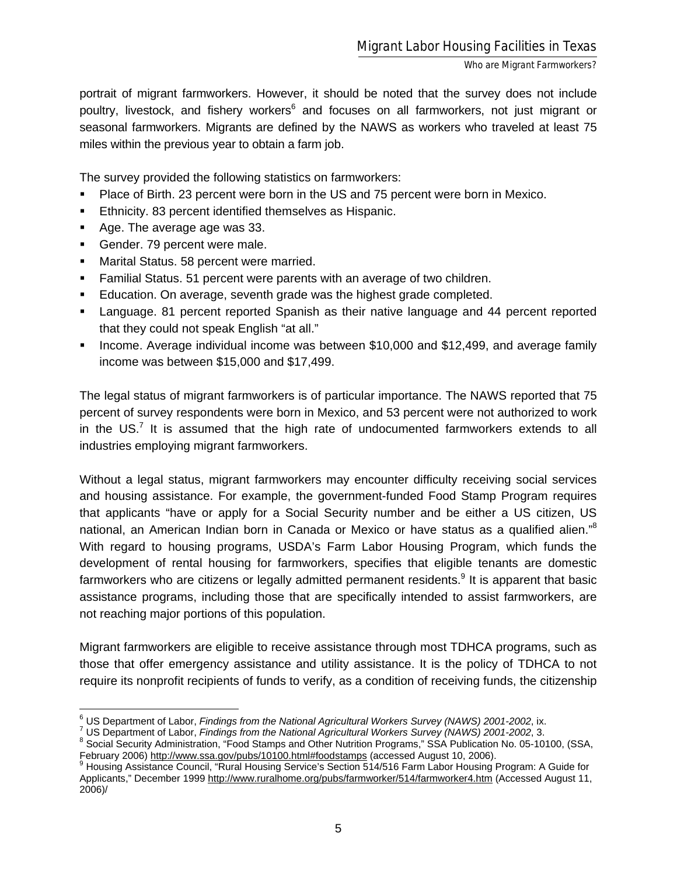*Who are Migrant Farmworkers?* 

portrait of migrant farmworkers. However, it should be noted that the survey does not include poultry, livestock, and fishery workers<sup>6</sup> and focuses on all farmworkers, not just migrant or seasonal farmworkers. Migrants are defined by the NAWS as workers who traveled at least 75 miles within the previous year to obtain a farm job.

The survey provided the following statistics on farmworkers:

- ° Place of Birth. 23 percent were born in the US and 75 percent were born in Mexico.
- ° Ethnicity. 83 percent identified themselves as Hispanic.
- Age. The average age was 33.
- Gender. 79 percent were male.
- ° Marital Status. 58 percent were married.
- ° Familial Status. 51 percent were parents with an average of two children.
- Education. On average, seventh grade was the highest grade completed.
- ° Language. 81 percent reported Spanish as their native language and 44 percent reported that they could not speak English "at all."
- Income. Average individual income was between \$10,000 and \$12,499, and average family income was between \$15,000 and \$17,499.

The legal status of migrant farmworkers is of particular importance. The NAWS reported that 75 percent of survey respondents were born in Mexico, and 53 percent were not authorized to work in the US.<sup>7</sup> It is assumed that the high rate of undocumented farmworkers extends to all industries employing migrant farmworkers.

Without a legal status, migrant farmworkers may encounter difficulty receiving social services and housing assistance. For example, the government-funded Food Stamp Program requires that applicants "have or apply for a Social Security number and be either a US citizen, US national, an American Indian born in Canada or Mexico or have status as a qualified alien."<sup>8</sup> With regard to housing programs, USDA's Farm Labor Housing Program, which funds the development of rental housing for farmworkers, specifies that eligible tenants are domestic farmworkers who are citizens or legally admitted permanent residents.<sup>9</sup> It is apparent that basic assistance programs, including those that are specifically intended to assist farmworkers, are not reaching major portions of this population.

Migrant farmworkers are eligible to receive assistance through most TDHCA programs, such as those that offer emergency assistance and utility assistance. It is the policy of TDHCA to not require its nonprofit recipients of funds to verify, as a condition of receiving funds, the citizenship

<sup>&</sup>lt;sup>6</sup> US Department of Labor, *Findings from the National Agricultural Workers Survey (NAWS) 2001-2002*, ix.<br>7 US Department of Labor, *Findings from the National Agricultural Workers Survey (NAWS) 2001-2003*, 2

US Department of Labor, *Findings from the National Agricultural Workers Survey (NAWS) 2001-2002*, 3.

<sup>&</sup>lt;sup>8</sup> Social Security Administration, "Food Stamps and Other Nutrition Programs," SSA Publication No. 05-10100, (SSA, February 2006) http://www.ssa.gov/pubs/10100.html#foodstamps (accessed August 10, 2006).

Housing Assistance Council, "Rural Housing Service's Section 514/516 Farm Labor Housing Program: A Guide for Applicants," December 1999 http://www.ruralhome.org/pubs/farmworker/514/farmworker4.htm (Accessed August 11, 2006)/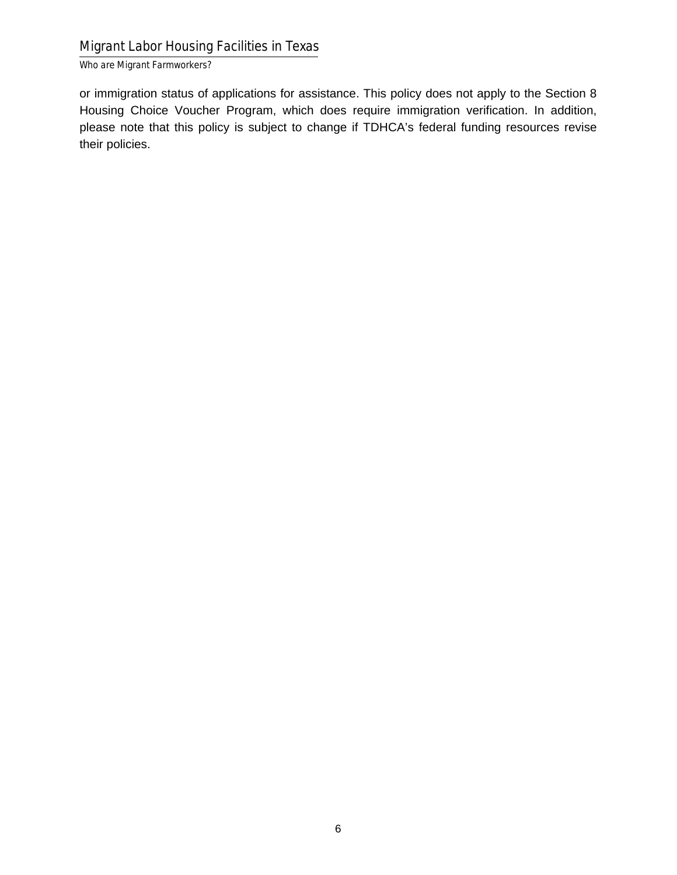*Who are Migrant Farmworkers?* 

or immigration status of applications for assistance. This policy does not apply to the Section 8 Housing Choice Voucher Program, which does require immigration verification. In addition, please note that this policy is subject to change if TDHCA's federal funding resources revise their policies.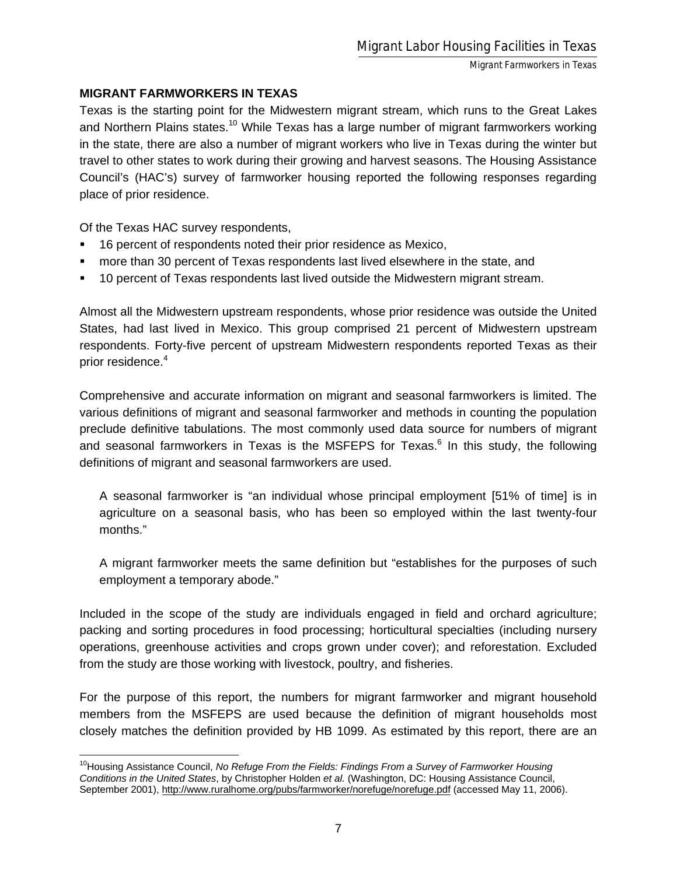#### **MIGRANT FARMWORKERS IN TEXAS**

Texas is the starting point for the Midwestern migrant stream, which runs to the Great Lakes and Northern Plains states.<sup>10</sup> While Texas has a large number of migrant farmworkers working in the state, there are also a number of migrant workers who live in Texas during the winter but travel to other states to work during their growing and harvest seasons. The Housing Assistance Council's (HAC's) survey of farmworker housing reported the following responses regarding place of prior residence.

Of the Texas HAC survey respondents,

- 16 percent of respondents noted their prior residence as Mexico,
- ° more than 30 percent of Texas respondents last lived elsewhere in the state, and
- ° 10 percent of Texas respondents last lived outside the Midwestern migrant stream.

Almost all the Midwestern upstream respondents, whose prior residence was outside the United States, had last lived in Mexico. This group comprised 21 percent of Midwestern upstream respondents. Forty-five percent of upstream Midwestern respondents reported Texas as their prior residence.<sup>4</sup>

Comprehensive and accurate information on migrant and seasonal farmworkers is limited. The various definitions of migrant and seasonal farmworker and methods in counting the population preclude definitive tabulations. The most commonly used data source for numbers of migrant and seasonal farmworkers in Texas is the MSFEPS for Texas.<sup>6</sup> In this study, the following definitions of migrant and seasonal farmworkers are used.

A seasonal farmworker is "an individual whose principal employment [51% of time] is in agriculture on a seasonal basis, who has been so employed within the last twenty-four months."

A migrant farmworker meets the same definition but "establishes for the purposes of such employment a temporary abode."

Included in the scope of the study are individuals engaged in field and orchard agriculture; packing and sorting procedures in food processing; horticultural specialties (including nursery operations, greenhouse activities and crops grown under cover); and reforestation. Excluded from the study are those working with livestock, poultry, and fisheries.

For the purpose of this report, the numbers for migrant farmworker and migrant household members from the MSFEPS are used because the definition of migrant households most closely matches the definition provided by HB 1099. As estimated by this report, there are an

<sup>&</sup>lt;sup>10</sup>Housing Assistance Council, *No Refuge From the Fields: Findings From a Survey of Farmworker Housing Conditions in the United States*, by Christopher Holden *et al.* (Washington, DC: Housing Assistance Council, September 2001), http://www.ruralhome.org/pubs/farmworker/norefuge/norefuge.pdf (accessed May 11, 2006).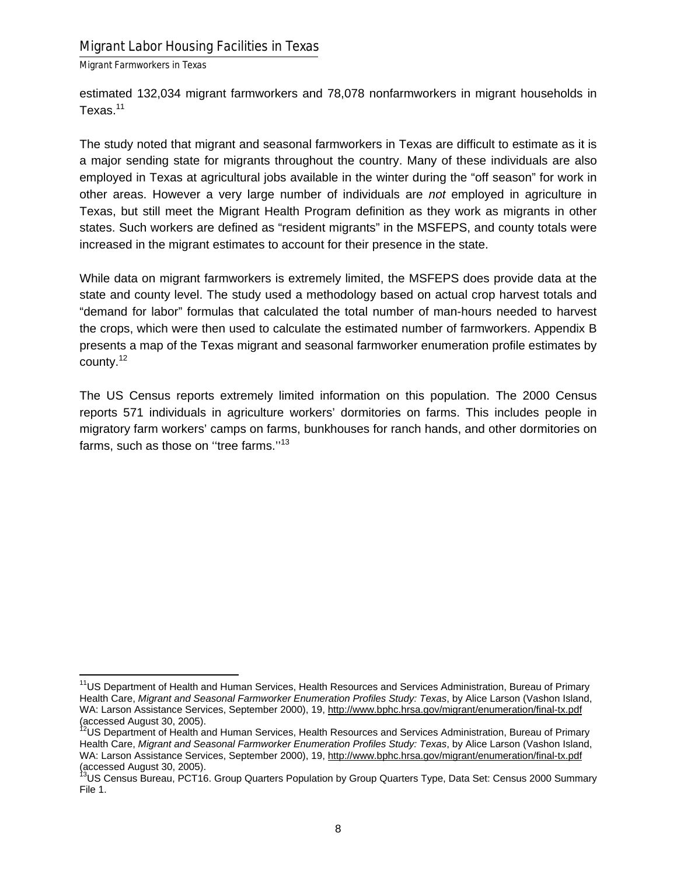*Migrant Farmworkers in Texas* 

estimated 132,034 migrant farmworkers and 78,078 nonfarmworkers in migrant households in Texas. $11$ 

The study noted that migrant and seasonal farmworkers in Texas are difficult to estimate as it is a major sending state for migrants throughout the country. Many of these individuals are also employed in Texas at agricultural jobs available in the winter during the "off season" for work in other areas. However a very large number of individuals are *not* employed in agriculture in Texas, but still meet the Migrant Health Program definition as they work as migrants in other states. Such workers are defined as "resident migrants" in the MSFEPS, and county totals were increased in the migrant estimates to account for their presence in the state.

While data on migrant farmworkers is extremely limited, the MSFEPS does provide data at the state and county level. The study used a methodology based on actual crop harvest totals and "demand for labor" formulas that calculated the total number of man-hours needed to harvest the crops, which were then used to calculate the estimated number of farmworkers. Appendix B presents a map of the Texas migrant and seasonal farmworker enumeration profile estimates by county.<sup>12</sup>

The US Census reports extremely limited information on this population. The 2000 Census reports 571 individuals in agriculture workers' dormitories on farms. This includes people in migratory farm workers' camps on farms, bunkhouses for ranch hands, and other dormitories on farms, such as those on "tree farms."<sup>13</sup>

<sup>&</sup>lt;sup>11</sup>US Department of Health and Human Services, Health Resources and Services Administration, Bureau of Primary Health Care, *Migrant and Seasonal Farmworker Enumeration Profiles Study: Texas*, by Alice Larson (Vashon Island, WA: Larson Assistance Services, September 2000), 19, http://www.bphc.hrsa.gov/migrant/enumeration/final-tx.pdf (accessed August 30, 2005).<br><sup>12</sup>US Department of Health and Human Services, Health Resources and Services Administration, Bureau of Primary

Health Care, *Migrant and Seasonal Farmworker Enumeration Profiles Study: Texas*, by Alice Larson (Vashon Island, WA: Larson Assistance Services, September 2000), 19, http://www.bphc.hrsa.gov/migrant/enumeration/final-tx.pdf (accessed August 30, 2005).<br><sup>13</sup>US Census Bureau, PCT16. Group Quarters Population by Group Quarters Type, Data Set: Census 2000 Summary

File 1.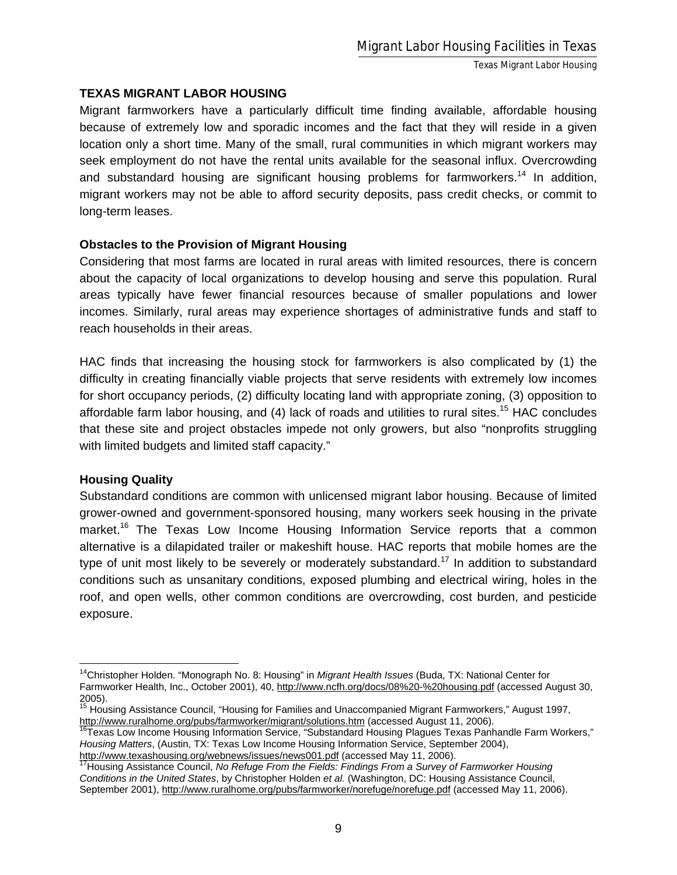#### **TEXAS MIGRANT LABOR HOUSING**

Migrant farmworkers have a particularly difficult time finding available, affordable housing because of extremely low and sporadic incomes and the fact that they will reside in a given location only a short time. Many of the small, rural communities in which migrant workers may seek employment do not have the rental units available for the seasonal influx. Overcrowding and substandard housing are significant housing problems for farmworkers.<sup>14</sup> In addition. migrant workers may not be able to afford security deposits, pass credit checks, or commit to long-term leases.

#### **Obstacles to the Provision of Migrant Housing**

Considering that most farms are located in rural areas with limited resources, there is concern about the capacity of local organizations to develop housing and serve this population. Rural areas typically have fewer financial resources because of smaller populations and lower incomes. Similarly, rural areas may experience shortages of administrative funds and staff to reach households in their areas.

HAC finds that increasing the housing stock for farmworkers is also complicated by (1) the difficulty in creating financially viable projects that serve residents with extremely low incomes for short occupancy periods, (2) difficulty locating land with appropriate zoning, (3) opposition to affordable farm labor housing, and  $(4)$  lack of roads and utilities to rural sites.<sup>15</sup> HAC concludes that these site and project obstacles impede not only growers, but also "nonprofits struggling with limited budgets and limited staff capacity."

#### **Housing Quality**

Substandard conditions are common with unlicensed migrant labor housing. Because of limited grower-owned and government-sponsored housing, many workers seek housing in the private market.<sup>16</sup> The Texas Low Income Housing Information Service reports that a common alternative is a dilapidated trailer or makeshift house. HAC reports that mobile homes are the type of unit most likely to be severely or moderately substandard.<sup>17</sup> In addition to substandard conditions such as unsanitary conditions, exposed plumbing and electrical wiring, holes in the roof, and open wells, other common conditions are overcrowding, cost burden, and pesticide exposure.

<sup>14</sup>Christopher Holden. "Monograph No. 8: Housing" in *Migrant Health Issues* (Buda, TX: National Center for Farmworker Health, Inc., October 2001), 40, http://www.ncfh.org/docs/08%20-%20housing.pdf (accessed August 30, 2005).<br><sup>15</sup> Housing Assistance Council, "Housing for Families and Unaccompanied Migrant Farmworkers," August 1997,

http://www.ruralhome.org/pubs/farmworker/migrant/solutions.htm (accessed August 11, 2006).<br><sup>16</sup>Texas Low Income Housing Information Service, "Substandard Housing Plagues Texas Panhandle Farm Workers,"

*Housing Matters*, (Austin, TX: Texas Low Income Housing Information Service, September 2004),

http://www.texashousing.org/webnews/issues/news001.pdf (accessed May 11, 2006).<br><sup>17</sup>Housing Assistance Council, *No Refuge From the Fields: Findings From a Survey of Farmworker Housing Conditions in the United States*, by Christopher Holden *et al.* (Washington, DC: Housing Assistance Council, September 2001), http://www.ruralhome.org/pubs/farmworker/norefuge/norefuge.pdf (accessed May 11, 2006).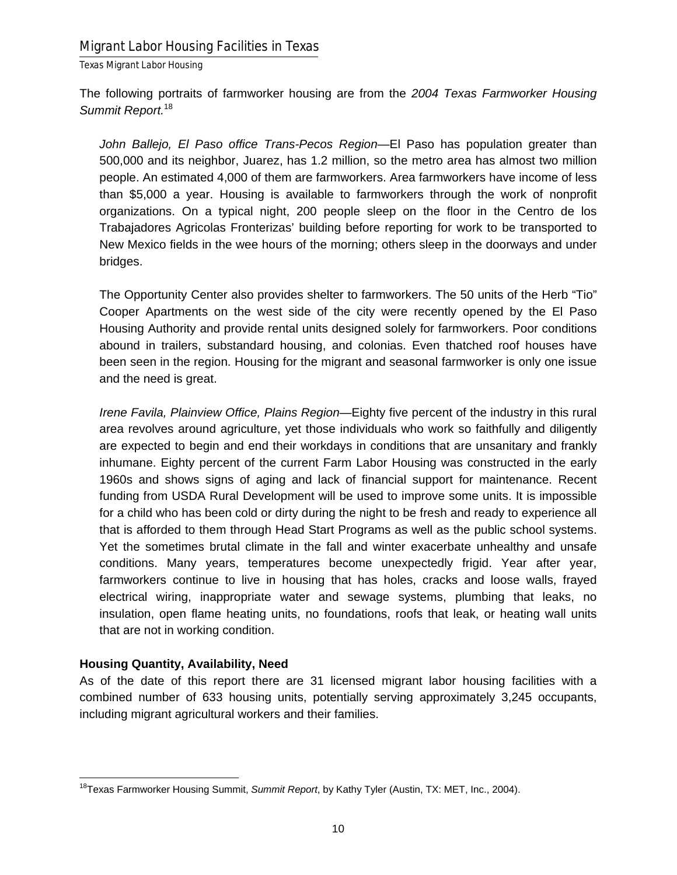The following portraits of farmworker housing are from the *2004 Texas Farmworker Housing Summit Report.*<sup>18</sup>

*John Ballejo, El Paso office Trans-Pecos Region*—El Paso has population greater than 500,000 and its neighbor, Juarez, has 1.2 million, so the metro area has almost two million people. An estimated 4,000 of them are farmworkers. Area farmworkers have income of less than \$5,000 a year. Housing is available to farmworkers through the work of nonprofit organizations. On a typical night, 200 people sleep on the floor in the Centro de los Trabajadores Agricolas Fronterizas' building before reporting for work to be transported to New Mexico fields in the wee hours of the morning; others sleep in the doorways and under bridges.

The Opportunity Center also provides shelter to farmworkers. The 50 units of the Herb "Tio" Cooper Apartments on the west side of the city were recently opened by the El Paso Housing Authority and provide rental units designed solely for farmworkers. Poor conditions abound in trailers, substandard housing, and colonias. Even thatched roof houses have been seen in the region. Housing for the migrant and seasonal farmworker is only one issue and the need is great.

*Irene Favila, Plainview Office, Plains Region*—Eighty five percent of the industry in this rural area revolves around agriculture, yet those individuals who work so faithfully and diligently are expected to begin and end their workdays in conditions that are unsanitary and frankly inhumane. Eighty percent of the current Farm Labor Housing was constructed in the early 1960s and shows signs of aging and lack of financial support for maintenance. Recent funding from USDA Rural Development will be used to improve some units. It is impossible for a child who has been cold or dirty during the night to be fresh and ready to experience all that is afforded to them through Head Start Programs as well as the public school systems. Yet the sometimes brutal climate in the fall and winter exacerbate unhealthy and unsafe conditions. Many years, temperatures become unexpectedly frigid. Year after year, farmworkers continue to live in housing that has holes, cracks and loose walls, frayed electrical wiring, inappropriate water and sewage systems, plumbing that leaks, no insulation, open flame heating units, no foundations, roofs that leak, or heating wall units that are not in working condition.

#### **Housing Quantity, Availability, Need**

As of the date of this report there are 31 licensed migrant labor housing facilities with a combined number of 633 housing units, potentially serving approximately 3,245 occupants, including migrant agricultural workers and their families.

<sup>18</sup>Texas Farmworker Housing Summit, *Summit Report*, by Kathy Tyler (Austin, TX: MET, Inc., 2004).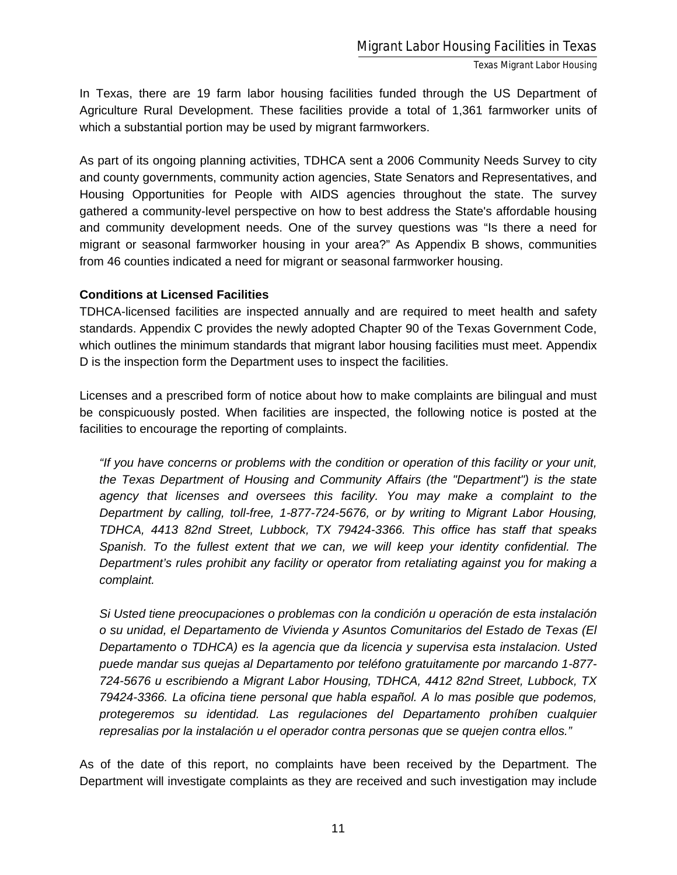In Texas, there are 19 farm labor housing facilities funded through the US Department of Agriculture Rural Development. These facilities provide a total of 1,361 farmworker units of which a substantial portion may be used by migrant farmworkers.

As part of its ongoing planning activities, TDHCA sent a 2006 Community Needs Survey to city and county governments, community action agencies, State Senators and Representatives, and Housing Opportunities for People with AIDS agencies throughout the state. The survey gathered a community-level perspective on how to best address the State's affordable housing and community development needs. One of the survey questions was "Is there a need for migrant or seasonal farmworker housing in your area?" As Appendix B shows, communities from 46 counties indicated a need for migrant or seasonal farmworker housing.

#### **Conditions at Licensed Facilities**

TDHCA-licensed facilities are inspected annually and are required to meet health and safety standards. Appendix C provides the newly adopted Chapter 90 of the Texas Government Code, which outlines the minimum standards that migrant labor housing facilities must meet. Appendix D is the inspection form the Department uses to inspect the facilities.

Licenses and a prescribed form of notice about how to make complaints are bilingual and must be conspicuously posted. When facilities are inspected, the following notice is posted at the facilities to encourage the reporting of complaints.

*"If you have concerns or problems with the condition or operation of this facility or your unit, the Texas Department of Housing and Community Affairs (the "Department") is the state agency that licenses and oversees this facility. You may make a complaint to the Department by calling, toll-free, 1-877-724-5676, or by writing to Migrant Labor Housing, TDHCA, 4413 82nd Street, Lubbock, TX 79424-3366. This office has staff that speaks Spanish. To the fullest extent that we can, we will keep your identity confidential. The Department's rules prohibit any facility or operator from retaliating against you for making a complaint.* 

*Si Usted tiene preocupaciones o problemas con la condición u operación de esta instalación o su unidad, el Departamento de Vivienda y Asuntos Comunitarios del Estado de Texas (El Departamento o TDHCA) es la agencia que da licencia y supervisa esta instalacion. Usted puede mandar sus quejas al Departamento por teléfono gratuitamente por marcando 1-877- 724-5676 u escribiendo a Migrant Labor Housing, TDHCA, 4412 82nd Street, Lubbock, TX 79424-3366. La oficina tiene personal que habla español. A lo mas posible que podemos, protegeremos su identidad. Las regulaciones del Departamento prohíben cualquier represalias por la instalación u el operador contra personas que se quejen contra ellos."*

As of the date of this report, no complaints have been received by the Department. The Department will investigate complaints as they are received and such investigation may include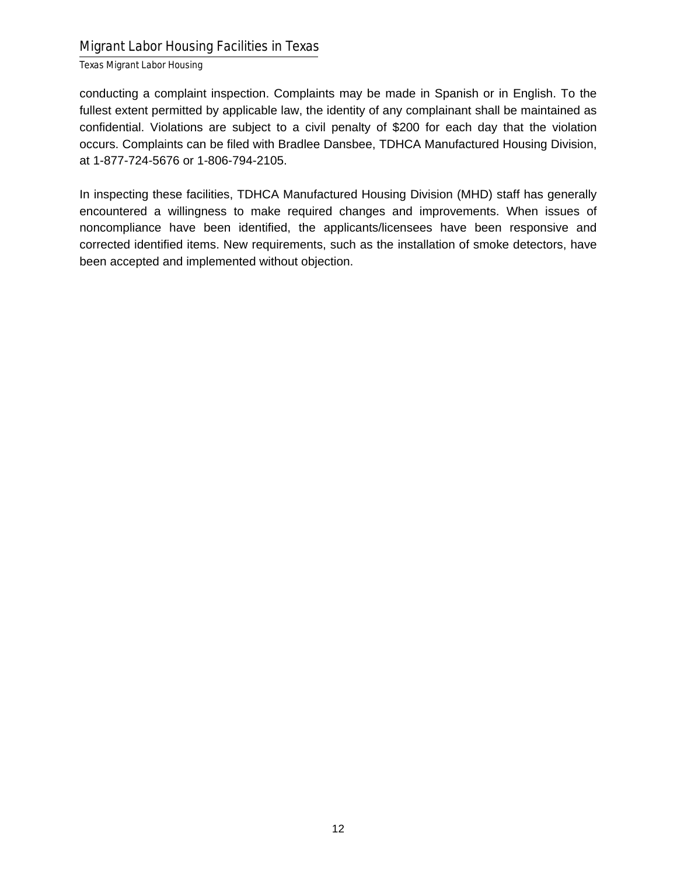*Texas Migrant Labor Housing* 

conducting a complaint inspection. Complaints may be made in Spanish or in English. To the fullest extent permitted by applicable law, the identity of any complainant shall be maintained as confidential. Violations are subject to a civil penalty of \$200 for each day that the violation occurs. Complaints can be filed with Bradlee Dansbee, TDHCA Manufactured Housing Division, at 1-877-724-5676 or 1-806-794-2105.

In inspecting these facilities, TDHCA Manufactured Housing Division (MHD) staff has generally encountered a willingness to make required changes and improvements. When issues of noncompliance have been identified, the applicants/licensees have been responsive and corrected identified items. New requirements, such as the installation of smoke detectors, have been accepted and implemented without objection.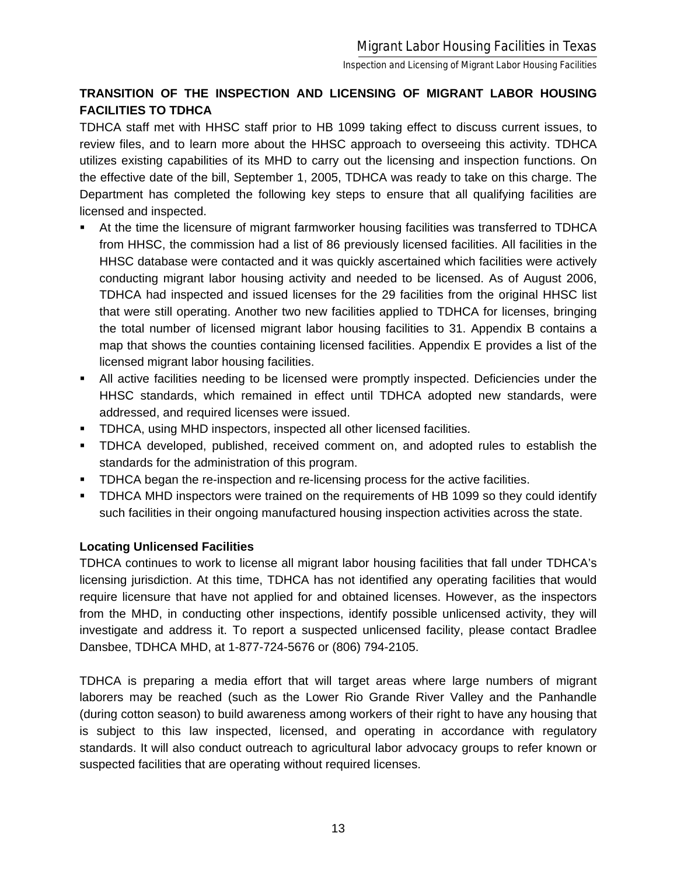# **TRANSITION OF THE INSPECTION AND LICENSING OF MIGRANT LABOR HOUSING FACILITIES TO TDHCA**

TDHCA staff met with HHSC staff prior to HB 1099 taking effect to discuss current issues, to review files, and to learn more about the HHSC approach to overseeing this activity. TDHCA utilizes existing capabilities of its MHD to carry out the licensing and inspection functions. On the effective date of the bill, September 1, 2005, TDHCA was ready to take on this charge. The Department has completed the following key steps to ensure that all qualifying facilities are licensed and inspected.

- ° At the time the licensure of migrant farmworker housing facilities was transferred to TDHCA from HHSC, the commission had a list of 86 previously licensed facilities. All facilities in the HHSC database were contacted and it was quickly ascertained which facilities were actively conducting migrant labor housing activity and needed to be licensed. As of August 2006, TDHCA had inspected and issued licenses for the 29 facilities from the original HHSC list that were still operating. Another two new facilities applied to TDHCA for licenses, bringing the total number of licensed migrant labor housing facilities to 31. Appendix B contains a map that shows the counties containing licensed facilities. Appendix E provides a list of the licensed migrant labor housing facilities.
- All active facilities needing to be licensed were promptly inspected. Deficiencies under the HHSC standards, which remained in effect until TDHCA adopted new standards, were addressed, and required licenses were issued.
- ° TDHCA, using MHD inspectors, inspected all other licensed facilities.
- ° TDHCA developed, published, received comment on, and adopted rules to establish the standards for the administration of this program.
- ° TDHCA began the re-inspection and re-licensing process for the active facilities.
- ° TDHCA MHD inspectors were trained on the requirements of HB 1099 so they could identify such facilities in their ongoing manufactured housing inspection activities across the state.

#### **Locating Unlicensed Facilities**

TDHCA continues to work to license all migrant labor housing facilities that fall under TDHCA's licensing jurisdiction. At this time, TDHCA has not identified any operating facilities that would require licensure that have not applied for and obtained licenses. However, as the inspectors from the MHD, in conducting other inspections, identify possible unlicensed activity, they will investigate and address it. To report a suspected unlicensed facility, please contact Bradlee Dansbee, TDHCA MHD, at 1-877-724-5676 or (806) 794-2105.

TDHCA is preparing a media effort that will target areas where large numbers of migrant laborers may be reached (such as the Lower Rio Grande River Valley and the Panhandle (during cotton season) to build awareness among workers of their right to have any housing that is subject to this law inspected, licensed, and operating in accordance with regulatory standards. It will also conduct outreach to agricultural labor advocacy groups to refer known or suspected facilities that are operating without required licenses.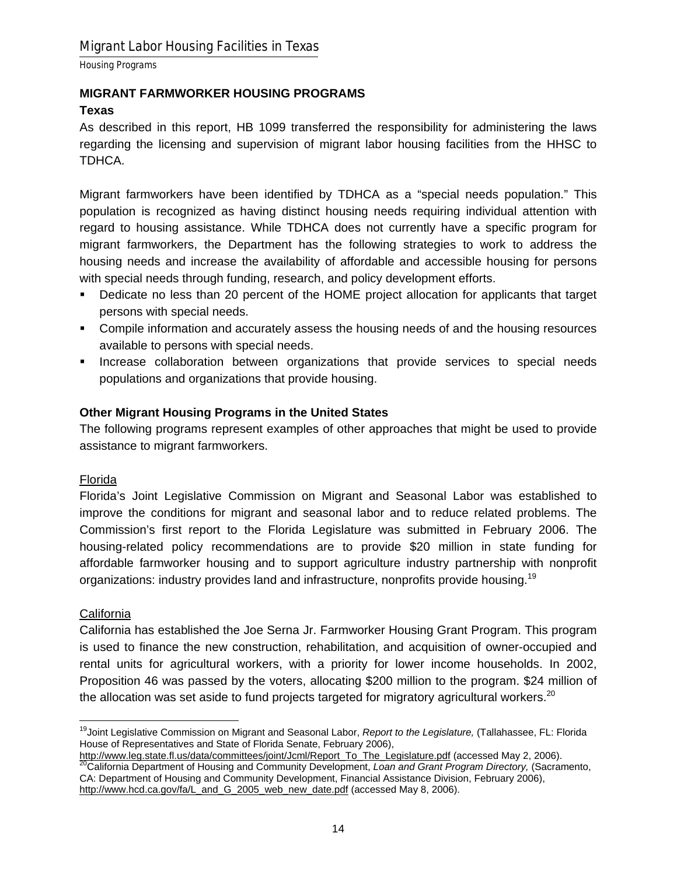# **MIGRANT FARMWORKER HOUSING PROGRAMS**

#### **Texas**

As described in this report, HB 1099 transferred the responsibility for administering the laws regarding the licensing and supervision of migrant labor housing facilities from the HHSC to TDHCA.

Migrant farmworkers have been identified by TDHCA as a "special needs population." This population is recognized as having distinct housing needs requiring individual attention with regard to housing assistance. While TDHCA does not currently have a specific program for migrant farmworkers, the Department has the following strategies to work to address the housing needs and increase the availability of affordable and accessible housing for persons with special needs through funding, research, and policy development efforts.

- Dedicate no less than 20 percent of the HOME project allocation for applicants that target persons with special needs.
- ° Compile information and accurately assess the housing needs of and the housing resources available to persons with special needs.
- ° Increase collaboration between organizations that provide services to special needs populations and organizations that provide housing.

#### **Other Migrant Housing Programs in the United States**

The following programs represent examples of other approaches that might be used to provide assistance to migrant farmworkers.

#### Florida

Florida's Joint Legislative Commission on Migrant and Seasonal Labor was established to improve the conditions for migrant and seasonal labor and to reduce related problems. The Commission's first report to the Florida Legislature was submitted in February 2006. The housing-related policy recommendations are to provide \$20 million in state funding for affordable farmworker housing and to support agriculture industry partnership with nonprofit organizations: industry provides land and infrastructure, nonprofits provide housing.<sup>19</sup>

#### **California**

California has established the Joe Serna Jr. Farmworker Housing Grant Program. This program is used to finance the new construction, rehabilitation, and acquisition of owner-occupied and rental units for agricultural workers, with a priority for lower income households. In 2002, Proposition 46 was passed by the voters, allocating \$200 million to the program. \$24 million of the allocation was set aside to fund projects targeted for migratory agricultural workers.<sup>20</sup>

<sup>19</sup>Joint Legislative Commission on Migrant and Seasonal Labor, *Report to the Legislature,* (Tallahassee, FL: Florida House of Representatives and State of Florida Senate, February 2006),

http://www.leg.state.fl.us/data/committees/joint/Jcml/Report\_To\_The\_Legislature.pdf (accessed May 2, 2006). <sup>20</sup>California Department of Housing and Community Development, *Loan and Grant Program Directory,* (Sacramento, CA: Department of Housing and Community Development, Financial Assistance Division, February 2006), http://www.hcd.ca.gov/fa/L\_and\_G\_2005\_web\_new\_date.pdf (accessed May 8, 2006).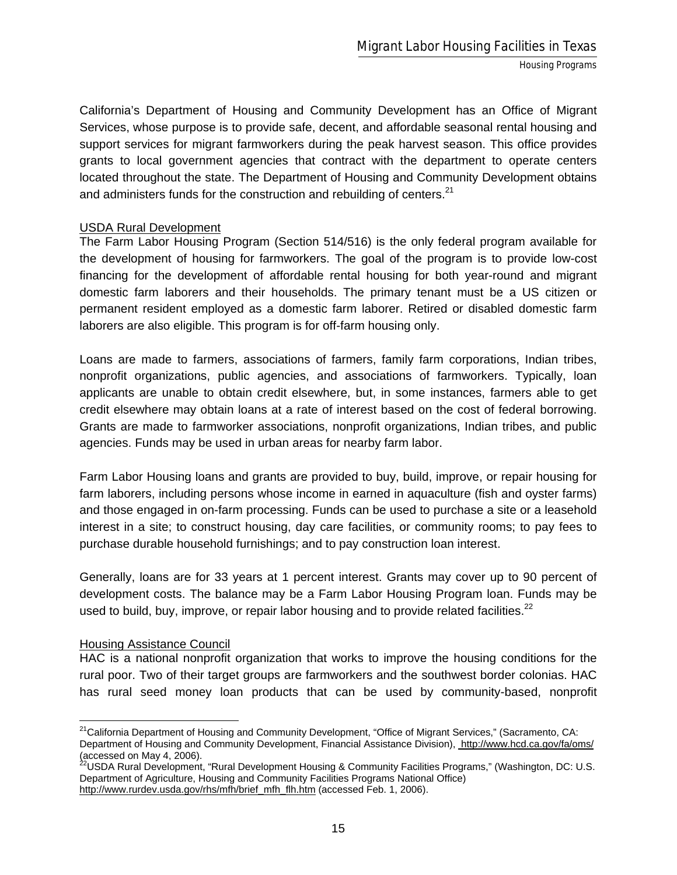California's Department of Housing and Community Development has an Office of Migrant Services, whose purpose is to provide safe, decent, and affordable seasonal rental housing and support services for migrant farmworkers during the peak harvest season. This office provides grants to local government agencies that contract with the department to operate centers located throughout the state. The Department of Housing and Community Development obtains and administers funds for the construction and rebuilding of centers. $21$ 

#### USDA Rural Development

The Farm Labor Housing Program (Section 514/516) is the only federal program available for the development of housing for farmworkers. The goal of the program is to provide low-cost financing for the development of affordable rental housing for both year-round and migrant domestic farm laborers and their households. The primary tenant must be a US citizen or permanent resident employed as a domestic farm laborer. Retired or disabled domestic farm laborers are also eligible. This program is for off-farm housing only.

Loans are made to farmers, associations of farmers, family farm corporations, Indian tribes, nonprofit organizations, public agencies, and associations of farmworkers. Typically, loan applicants are unable to obtain credit elsewhere, but, in some instances, farmers able to get credit elsewhere may obtain loans at a rate of interest based on the cost of federal borrowing. Grants are made to farmworker associations, nonprofit organizations, Indian tribes, and public agencies. Funds may be used in urban areas for nearby farm labor.

Farm Labor Housing loans and grants are provided to buy, build, improve, or repair housing for farm laborers, including persons whose income in earned in aquaculture (fish and oyster farms) and those engaged in on-farm processing. Funds can be used to purchase a site or a leasehold interest in a site; to construct housing, day care facilities, or community rooms; to pay fees to purchase durable household furnishings; and to pay construction loan interest.

Generally, loans are for 33 years at 1 percent interest. Grants may cover up to 90 percent of development costs. The balance may be a Farm Labor Housing Program loan. Funds may be used to build, buy, improve, or repair labor housing and to provide related facilities.<sup>22</sup>

#### Housing Assistance Council

HAC is a national nonprofit organization that works to improve the housing conditions for the rural poor. Two of their target groups are farmworkers and the southwest border colonias. HAC has rural seed money loan products that can be used by community-based, nonprofit

<sup>&</sup>lt;sup>21</sup>California Department of Housing and Community Development, "Office of Migrant Services," (Sacramento, CA: Department of Housing and Community Development, Financial Assistance Division), http://www.hcd.ca.gov/fa/oms/ (accessed on May 4, 2006).<br><sup>22</sup>USDA Rural Development, "Rural Development Housing & Community Facilities Programs," (Washington, DC: U.S.

Department of Agriculture, Housing and Community Facilities Programs National Office) http://www.rurdev.usda.gov/rhs/mfh/brief\_mfh\_flh.htm (accessed Feb. 1, 2006).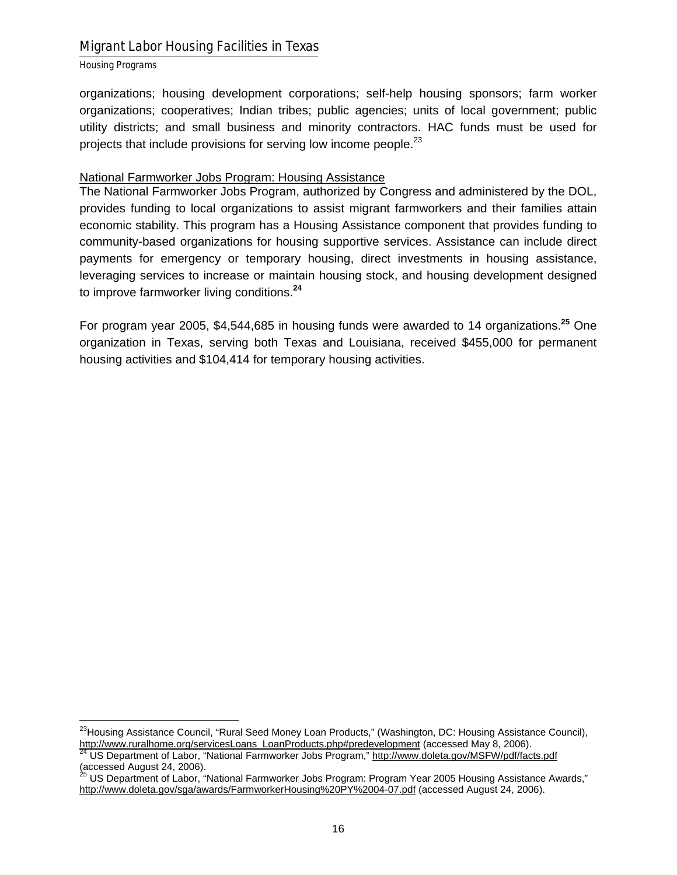*Housing Programs* 

organizations; housing development corporations; self-help housing sponsors; farm worker organizations; cooperatives; Indian tribes; public agencies; units of local government; public utility districts; and small business and minority contractors. HAC funds must be used for projects that include provisions for serving low income people. $^{23}$ 

#### National Farmworker Jobs Program: Housing Assistance

The National Farmworker Jobs Program, authorized by Congress and administered by the DOL, provides funding to local organizations to assist migrant farmworkers and their families attain economic stability. This program has a Housing Assistance component that provides funding to community-based organizations for housing supportive services. Assistance can include direct payments for emergency or temporary housing, direct investments in housing assistance, leveraging services to increase or maintain housing stock, and housing development designed to improve farmworker living conditions.**<sup>24</sup>**

For program year 2005, \$4,544,685 in housing funds were awarded to 14 organizations.**<sup>25</sup>** One organization in Texas, serving both Texas and Louisiana, received \$455,000 for permanent housing activities and \$104,414 for temporary housing activities.

http://www.ruralhome.org/servicesLoans\_LoanProducts.php#predevelopment (accessed May 8, 2006).<br><sup>24</sup> US Department of Labor, "National Farmworker Jobs Program," http://www.doleta.gov/MSFW/pdf/facts.pdf<br>(accessed August 24,

<sup>&</sup>lt;sup>23</sup>Housing Assistance Council, "Rural Seed Money Loan Products," (Washington, DC: Housing Assistance Council),

 $\bar{\theta}$  US Department of Labor, "National Farmworker Jobs Program: Program Year 2005 Housing Assistance Awards," http://www.doleta.gov/sga/awards/FarmworkerHousing%20PY%2004-07.pdf (accessed August 24, 2006).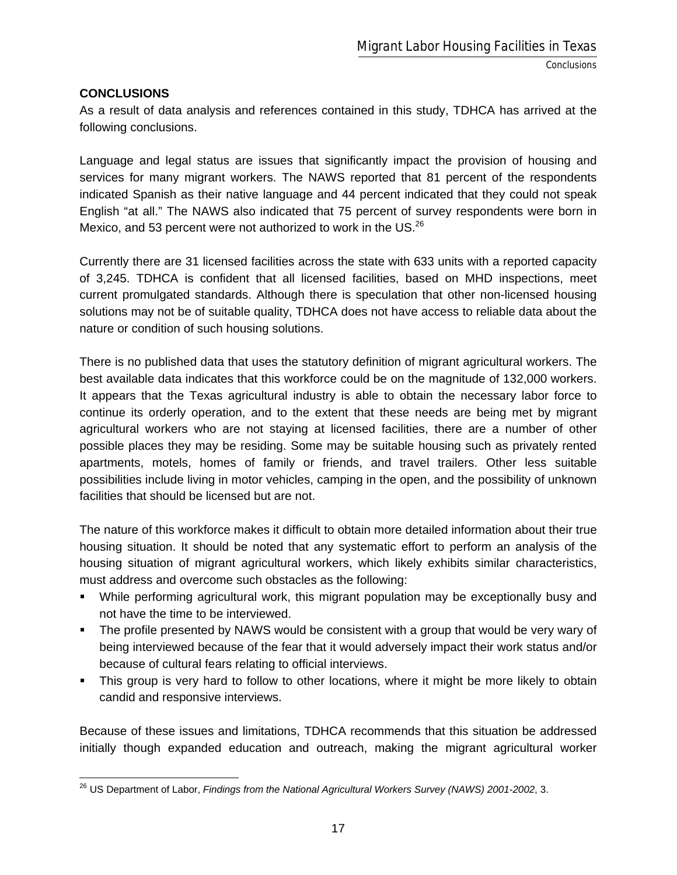#### **CONCLUSIONS**

As a result of data analysis and references contained in this study, TDHCA has arrived at the following conclusions.

Language and legal status are issues that significantly impact the provision of housing and services for many migrant workers. The NAWS reported that 81 percent of the respondents indicated Spanish as their native language and 44 percent indicated that they could not speak English "at all." The NAWS also indicated that 75 percent of survey respondents were born in Mexico, and 53 percent were not authorized to work in the US. $^{26}$ 

Currently there are 31 licensed facilities across the state with 633 units with a reported capacity of 3,245. TDHCA is confident that all licensed facilities, based on MHD inspections, meet current promulgated standards. Although there is speculation that other non-licensed housing solutions may not be of suitable quality, TDHCA does not have access to reliable data about the nature or condition of such housing solutions.

There is no published data that uses the statutory definition of migrant agricultural workers. The best available data indicates that this workforce could be on the magnitude of 132,000 workers. It appears that the Texas agricultural industry is able to obtain the necessary labor force to continue its orderly operation, and to the extent that these needs are being met by migrant agricultural workers who are not staying at licensed facilities, there are a number of other possible places they may be residing. Some may be suitable housing such as privately rented apartments, motels, homes of family or friends, and travel trailers. Other less suitable possibilities include living in motor vehicles, camping in the open, and the possibility of unknown facilities that should be licensed but are not.

The nature of this workforce makes it difficult to obtain more detailed information about their true housing situation. It should be noted that any systematic effort to perform an analysis of the housing situation of migrant agricultural workers, which likely exhibits similar characteristics, must address and overcome such obstacles as the following:

- ° While performing agricultural work, this migrant population may be exceptionally busy and not have the time to be interviewed.
- ° The profile presented by NAWS would be consistent with a group that would be very wary of being interviewed because of the fear that it would adversely impact their work status and/or because of cultural fears relating to official interviews.
- This group is very hard to follow to other locations, where it might be more likely to obtain candid and responsive interviews.

Because of these issues and limitations, TDHCA recommends that this situation be addressed initially though expanded education and outreach, making the migrant agricultural worker

<sup>26</sup> US Department of Labor, *Findings from the National Agricultural Workers Survey (NAWS) 2001-2002*, 3.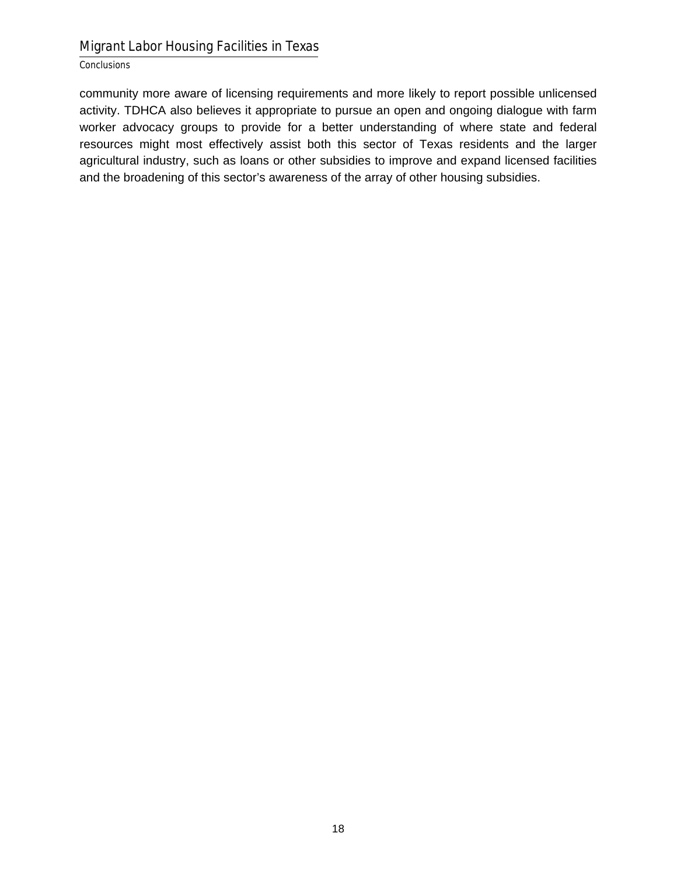*Conclusions* 

community more aware of licensing requirements and more likely to report possible unlicensed activity. TDHCA also believes it appropriate to pursue an open and ongoing dialogue with farm worker advocacy groups to provide for a better understanding of where state and federal resources might most effectively assist both this sector of Texas residents and the larger agricultural industry, such as loans or other subsidies to improve and expand licensed facilities and the broadening of this sector's awareness of the array of other housing subsidies.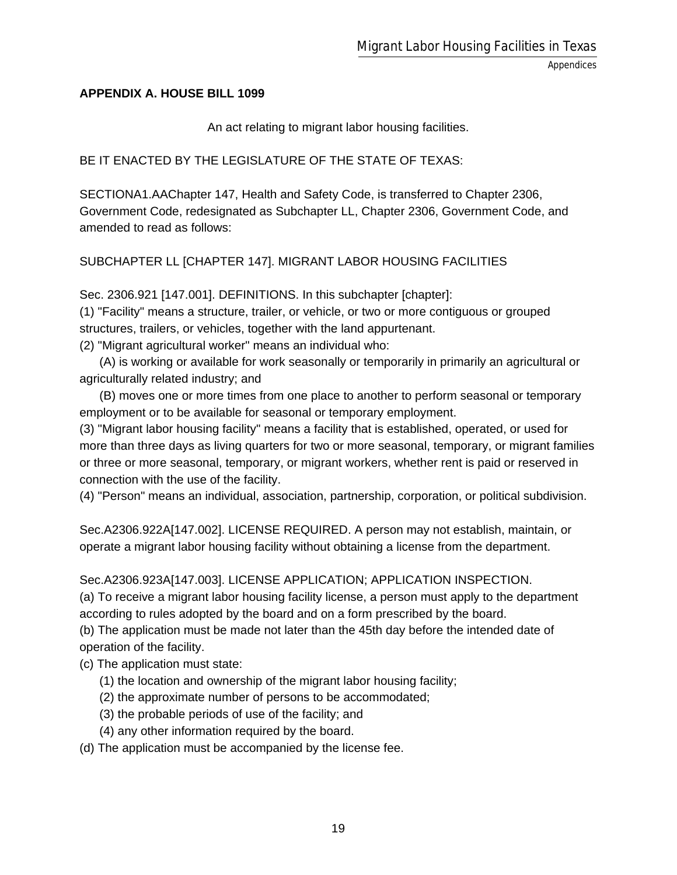#### **APPENDIX A. HOUSE BILL 1099**

An act relating to migrant labor housing facilities.

#### BE IT ENACTED BY THE LEGISLATURE OF THE STATE OF TEXAS:

SECTIONA1.AAChapter 147, Health and Safety Code, is transferred to Chapter 2306, Government Code, redesignated as Subchapter LL, Chapter 2306, Government Code, and amended to read as follows:

#### SUBCHAPTER LL [CHAPTER 147]. MIGRANT LABOR HOUSING FACILITIES

Sec. 2306.921 [147.001]. DEFINITIONS. In this subchapter [chapter]:

(1) "Facility" means a structure, trailer, or vehicle, or two or more contiguous or grouped structures, trailers, or vehicles, together with the land appurtenant.

(2) "Migrant agricultural worker" means an individual who:

(A) is working or available for work seasonally or temporarily in primarily an agricultural or agriculturally related industry; and

(B) moves one or more times from one place to another to perform seasonal or temporary employment or to be available for seasonal or temporary employment.

(3) "Migrant labor housing facility" means a facility that is established, operated, or used for more than three days as living quarters for two or more seasonal, temporary, or migrant families or three or more seasonal, temporary, or migrant workers, whether rent is paid or reserved in connection with the use of the facility.

(4) "Person" means an individual, association, partnership, corporation, or political subdivision.

Sec.A2306.922A[147.002]. LICENSE REQUIRED. A person may not establish, maintain, or operate a migrant labor housing facility without obtaining a license from the department.

Sec.A2306.923A[147.003]. LICENSE APPLICATION; APPLICATION INSPECTION.

(a) To receive a migrant labor housing facility license, a person must apply to the department according to rules adopted by the board and on a form prescribed by the board.

(b) The application must be made not later than the 45th day before the intended date of operation of the facility.

- (c) The application must state:
	- (1) the location and ownership of the migrant labor housing facility;
	- (2) the approximate number of persons to be accommodated;
	- (3) the probable periods of use of the facility; and
	- (4) any other information required by the board.
- (d) The application must be accompanied by the license fee.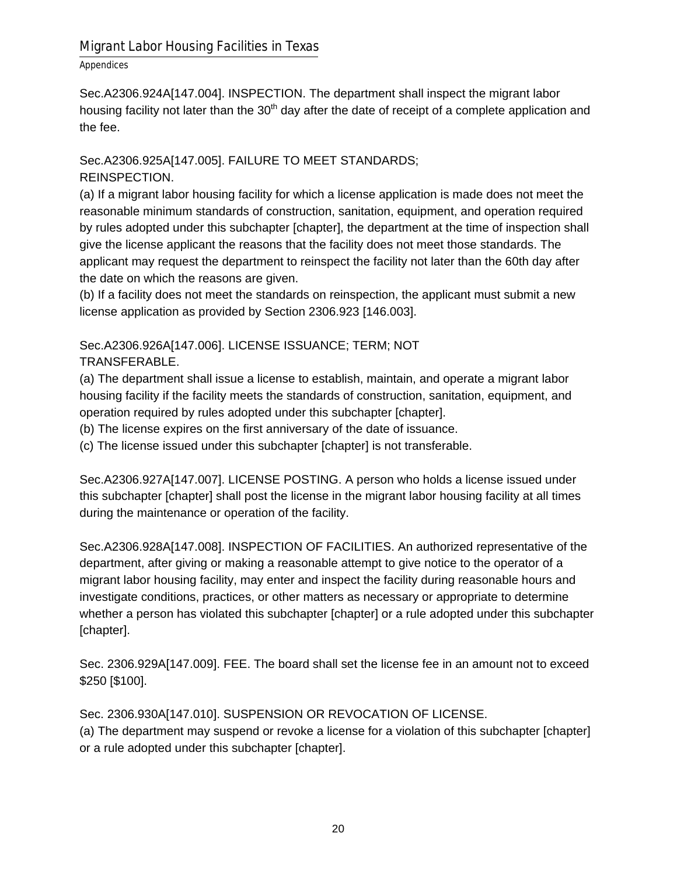*Appendices* 

Sec.A2306.924A[147.004]. INSPECTION. The department shall inspect the migrant labor housing facility not later than the 30<sup>th</sup> day after the date of receipt of a complete application and the fee.

Sec.A2306.925A[147.005]. FAILURE TO MEET STANDARDS; REINSPECTION.

(a) If a migrant labor housing facility for which a license application is made does not meet the reasonable minimum standards of construction, sanitation, equipment, and operation required by rules adopted under this subchapter [chapter], the department at the time of inspection shall give the license applicant the reasons that the facility does not meet those standards. The applicant may request the department to reinspect the facility not later than the 60th day after the date on which the reasons are given.

(b) If a facility does not meet the standards on reinspection, the applicant must submit a new license application as provided by Section 2306.923 [146.003].

Sec.A2306.926A[147.006]. LICENSE ISSUANCE; TERM; NOT

TRANSFERABLE.

(a) The department shall issue a license to establish, maintain, and operate a migrant labor housing facility if the facility meets the standards of construction, sanitation, equipment, and operation required by rules adopted under this subchapter [chapter].

(b) The license expires on the first anniversary of the date of issuance.

(c) The license issued under this subchapter [chapter] is not transferable.

Sec.A2306.927A[147.007]. LICENSE POSTING. A person who holds a license issued under this subchapter [chapter] shall post the license in the migrant labor housing facility at all times during the maintenance or operation of the facility.

Sec.A2306.928A[147.008]. INSPECTION OF FACILITIES. An authorized representative of the department, after giving or making a reasonable attempt to give notice to the operator of a migrant labor housing facility, may enter and inspect the facility during reasonable hours and investigate conditions, practices, or other matters as necessary or appropriate to determine whether a person has violated this subchapter [chapter] or a rule adopted under this subchapter [chapter].

Sec. 2306.929A[147.009]. FEE. The board shall set the license fee in an amount not to exceed \$250 [\$100].

Sec. 2306.930A[147.010]. SUSPENSION OR REVOCATION OF LICENSE. (a) The department may suspend or revoke a license for a violation of this subchapter [chapter] or a rule adopted under this subchapter [chapter].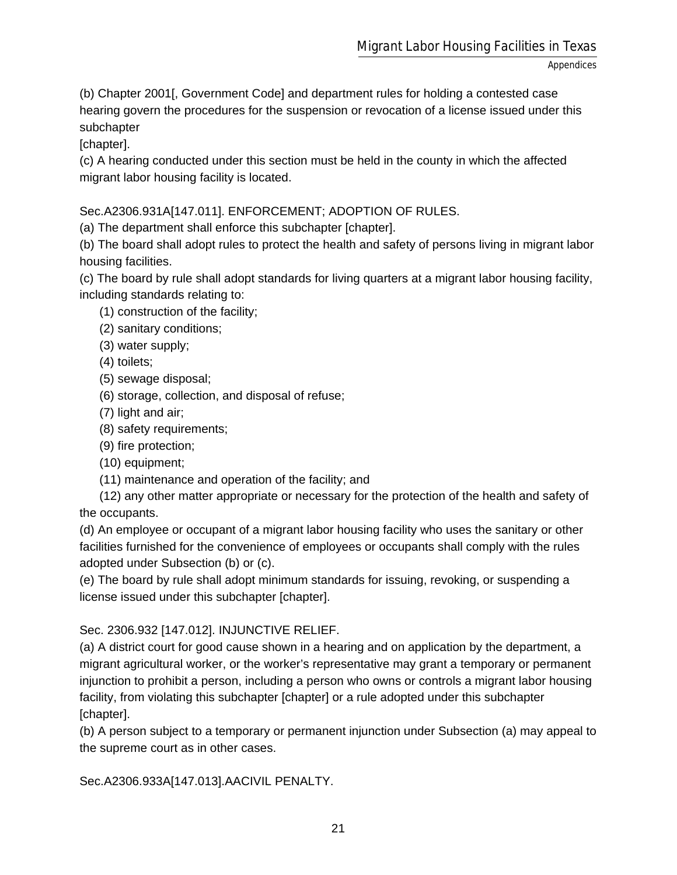(b) Chapter 2001[, Government Code] and department rules for holding a contested case hearing govern the procedures for the suspension or revocation of a license issued under this subchapter

[chapter].

(c) A hearing conducted under this section must be held in the county in which the affected migrant labor housing facility is located.

#### Sec.A2306.931A[147.011]. ENFORCEMENT; ADOPTION OF RULES.

(a) The department shall enforce this subchapter [chapter].

(b) The board shall adopt rules to protect the health and safety of persons living in migrant labor housing facilities.

(c) The board by rule shall adopt standards for living quarters at a migrant labor housing facility, including standards relating to:

- (1) construction of the facility;
- (2) sanitary conditions;
- (3) water supply;
- (4) toilets;
- (5) sewage disposal;
- (6) storage, collection, and disposal of refuse;
- (7) light and air;
- (8) safety requirements;
- (9) fire protection;
- (10) equipment;
- (11) maintenance and operation of the facility; and

(12) any other matter appropriate or necessary for the protection of the health and safety of the occupants.

(d) An employee or occupant of a migrant labor housing facility who uses the sanitary or other facilities furnished for the convenience of employees or occupants shall comply with the rules adopted under Subsection (b) or (c).

(e) The board by rule shall adopt minimum standards for issuing, revoking, or suspending a license issued under this subchapter [chapter].

#### Sec. 2306.932 [147.012]. INJUNCTIVE RELIEF.

(a) A district court for good cause shown in a hearing and on application by the department, a migrant agricultural worker, or the worker's representative may grant a temporary or permanent injunction to prohibit a person, including a person who owns or controls a migrant labor housing facility, from violating this subchapter [chapter] or a rule adopted under this subchapter [chapter].

(b) A person subject to a temporary or permanent injunction under Subsection (a) may appeal to the supreme court as in other cases.

Sec.A2306.933A[147.013].AACIVIL PENALTY.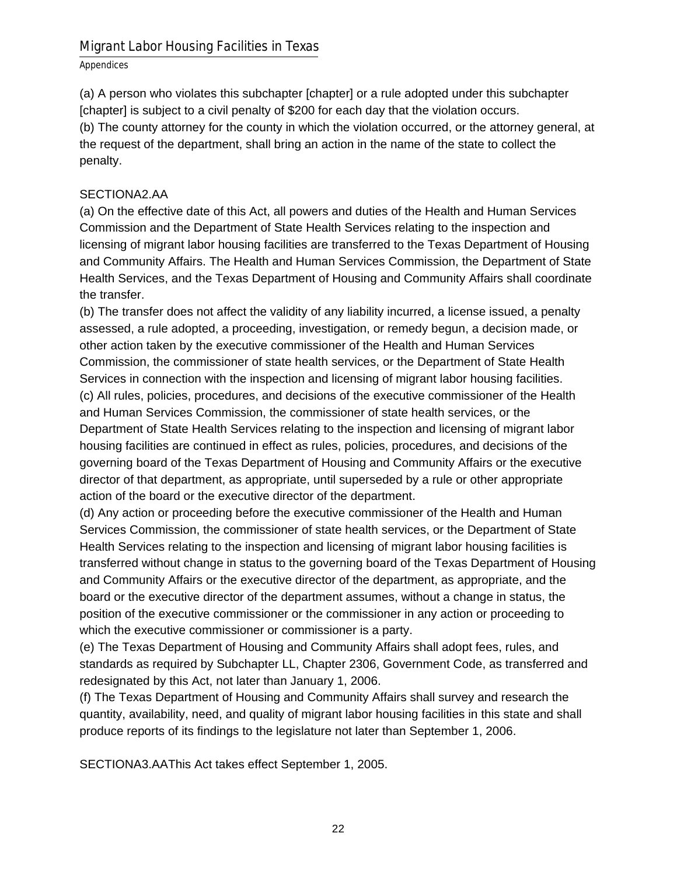#### *Appendices*

(a) A person who violates this subchapter [chapter] or a rule adopted under this subchapter [chapter] is subject to a civil penalty of \$200 for each day that the violation occurs. (b) The county attorney for the county in which the violation occurred, or the attorney general, at the request of the department, shall bring an action in the name of the state to collect the penalty.

#### SECTIONA2.AA

(a) On the effective date of this Act, all powers and duties of the Health and Human Services Commission and the Department of State Health Services relating to the inspection and licensing of migrant labor housing facilities are transferred to the Texas Department of Housing and Community Affairs. The Health and Human Services Commission, the Department of State Health Services, and the Texas Department of Housing and Community Affairs shall coordinate the transfer.

(b) The transfer does not affect the validity of any liability incurred, a license issued, a penalty assessed, a rule adopted, a proceeding, investigation, or remedy begun, a decision made, or other action taken by the executive commissioner of the Health and Human Services Commission, the commissioner of state health services, or the Department of State Health Services in connection with the inspection and licensing of migrant labor housing facilities. (c) All rules, policies, procedures, and decisions of the executive commissioner of the Health and Human Services Commission, the commissioner of state health services, or the Department of State Health Services relating to the inspection and licensing of migrant labor housing facilities are continued in effect as rules, policies, procedures, and decisions of the governing board of the Texas Department of Housing and Community Affairs or the executive director of that department, as appropriate, until superseded by a rule or other appropriate action of the board or the executive director of the department.

(d) Any action or proceeding before the executive commissioner of the Health and Human Services Commission, the commissioner of state health services, or the Department of State Health Services relating to the inspection and licensing of migrant labor housing facilities is transferred without change in status to the governing board of the Texas Department of Housing and Community Affairs or the executive director of the department, as appropriate, and the board or the executive director of the department assumes, without a change in status, the position of the executive commissioner or the commissioner in any action or proceeding to which the executive commissioner or commissioner is a party.

(e) The Texas Department of Housing and Community Affairs shall adopt fees, rules, and standards as required by Subchapter LL, Chapter 2306, Government Code, as transferred and redesignated by this Act, not later than January 1, 2006.

(f) The Texas Department of Housing and Community Affairs shall survey and research the quantity, availability, need, and quality of migrant labor housing facilities in this state and shall produce reports of its findings to the legislature not later than September 1, 2006.

SECTIONA3.AAThis Act takes effect September 1, 2005.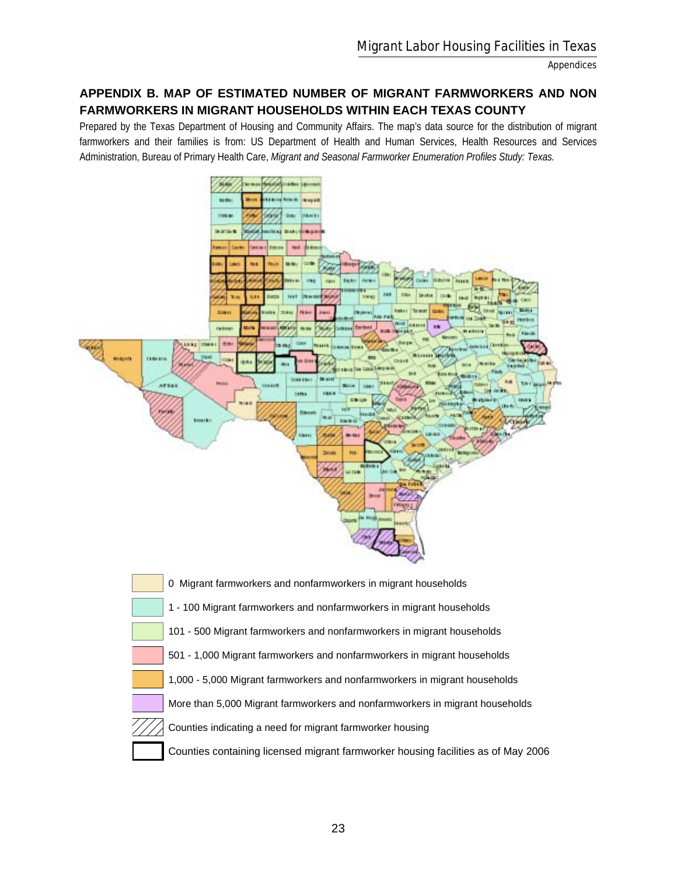#### **APPENDIX B. MAP OF ESTIMATED NUMBER OF MIGRANT FARMWORKERS AND NON FARMWORKERS IN MIGRANT HOUSEHOLDS WITHIN EACH TEXAS COUNTY**

Prepared by the Texas Department of Housing and Community Affairs. The map's data source for the distribution of migrant farmworkers and their families is from: US Department of Health and Human Services, Health Resources and Services Administration, Bureau of Primary Health Care, *Migrant and Seasonal Farmworker Enumeration Profiles Study: Texas.* 

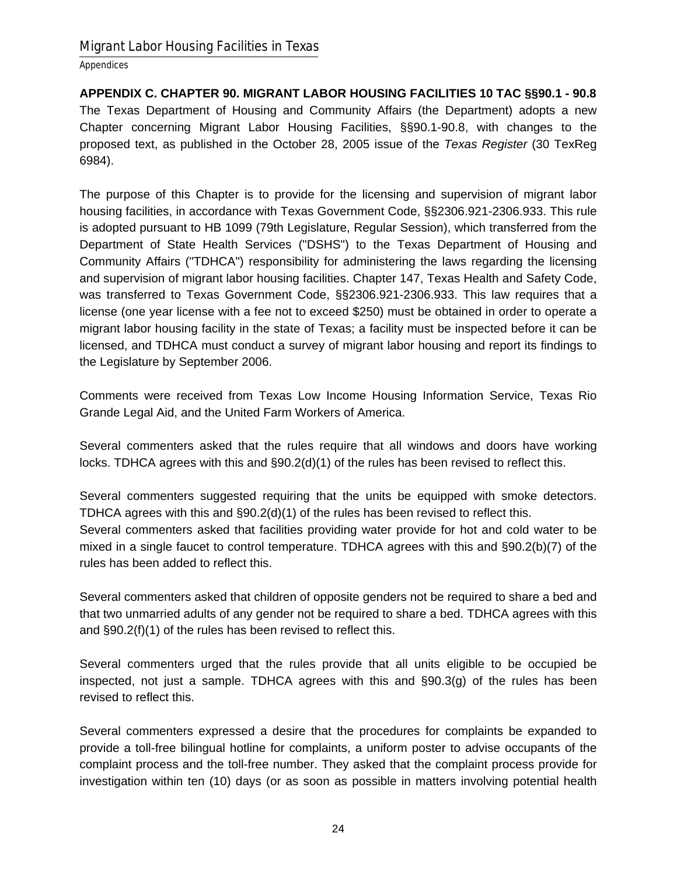#### *Migrant Labor Housing Facilities in Texas Appendices*

**APPENDIX C. CHAPTER 90. MIGRANT LABOR HOUSING FACILITIES 10 TAC §§90.1 - 90.8**  The Texas Department of Housing and Community Affairs (the Department) adopts a new Chapter concerning Migrant Labor Housing Facilities, §§90.1-90.8, with changes to the proposed text, as published in the October 28, 2005 issue of the *Texas Register* (30 TexReg 6984).

The purpose of this Chapter is to provide for the licensing and supervision of migrant labor housing facilities, in accordance with Texas Government Code, §§2306.921-2306.933. This rule is adopted pursuant to HB 1099 (79th Legislature, Regular Session), which transferred from the Department of State Health Services ("DSHS") to the Texas Department of Housing and Community Affairs ("TDHCA") responsibility for administering the laws regarding the licensing and supervision of migrant labor housing facilities. Chapter 147, Texas Health and Safety Code, was transferred to Texas Government Code, §§2306.921-2306.933. This law requires that a license (one year license with a fee not to exceed \$250) must be obtained in order to operate a migrant labor housing facility in the state of Texas; a facility must be inspected before it can be licensed, and TDHCA must conduct a survey of migrant labor housing and report its findings to the Legislature by September 2006.

Comments were received from Texas Low Income Housing Information Service, Texas Rio Grande Legal Aid, and the United Farm Workers of America.

Several commenters asked that the rules require that all windows and doors have working locks. TDHCA agrees with this and §90.2(d)(1) of the rules has been revised to reflect this.

Several commenters suggested requiring that the units be equipped with smoke detectors. TDHCA agrees with this and §90.2(d)(1) of the rules has been revised to reflect this. Several commenters asked that facilities providing water provide for hot and cold water to be mixed in a single faucet to control temperature. TDHCA agrees with this and §90.2(b)(7) of the rules has been added to reflect this.

Several commenters asked that children of opposite genders not be required to share a bed and that two unmarried adults of any gender not be required to share a bed. TDHCA agrees with this and §90.2(f)(1) of the rules has been revised to reflect this.

Several commenters urged that the rules provide that all units eligible to be occupied be inspected, not just a sample. TDHCA agrees with this and §90.3(g) of the rules has been revised to reflect this.

Several commenters expressed a desire that the procedures for complaints be expanded to provide a toll-free bilingual hotline for complaints, a uniform poster to advise occupants of the complaint process and the toll-free number. They asked that the complaint process provide for investigation within ten (10) days (or as soon as possible in matters involving potential health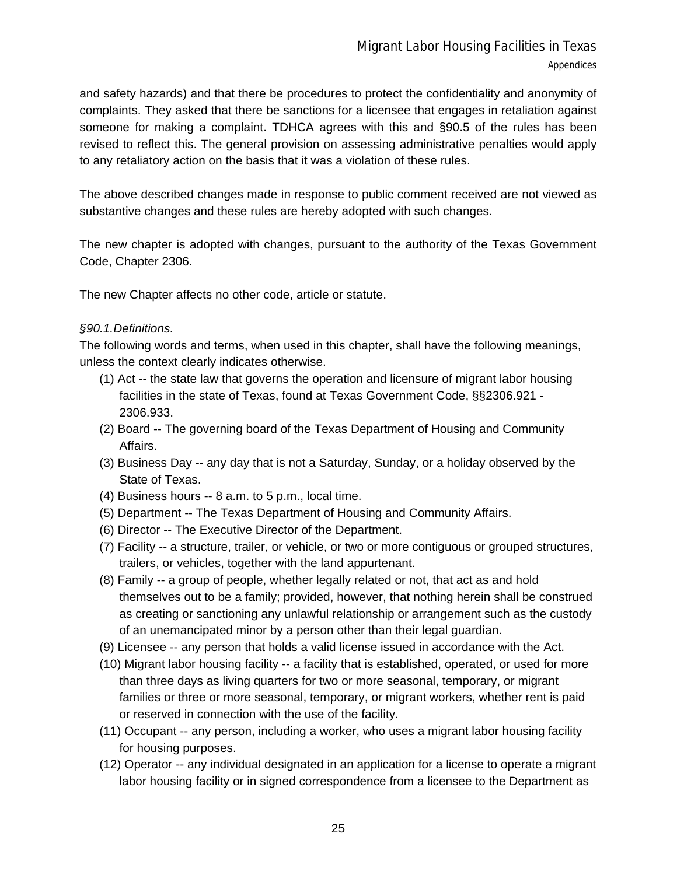and safety hazards) and that there be procedures to protect the confidentiality and anonymity of complaints. They asked that there be sanctions for a licensee that engages in retaliation against someone for making a complaint. TDHCA agrees with this and §90.5 of the rules has been revised to reflect this. The general provision on assessing administrative penalties would apply to any retaliatory action on the basis that it was a violation of these rules.

The above described changes made in response to public comment received are not viewed as substantive changes and these rules are hereby adopted with such changes.

The new chapter is adopted with changes, pursuant to the authority of the Texas Government Code, Chapter 2306.

The new Chapter affects no other code, article or statute.

#### *§90.1.Definitions.*

The following words and terms, when used in this chapter, shall have the following meanings, unless the context clearly indicates otherwise.

- (1) Act -- the state law that governs the operation and licensure of migrant labor housing facilities in the state of Texas, found at Texas Government Code, §§2306.921 - 2306.933.
- (2) Board -- The governing board of the Texas Department of Housing and Community Affairs.
- (3) Business Day -- any day that is not a Saturday, Sunday, or a holiday observed by the State of Texas.
- (4) Business hours -- 8 a.m. to 5 p.m., local time.
- (5) Department -- The Texas Department of Housing and Community Affairs.
- (6) Director -- The Executive Director of the Department.
- (7) Facility -- a structure, trailer, or vehicle, or two or more contiguous or grouped structures, trailers, or vehicles, together with the land appurtenant.
- (8) Family -- a group of people, whether legally related or not, that act as and hold themselves out to be a family; provided, however, that nothing herein shall be construed as creating or sanctioning any unlawful relationship or arrangement such as the custody of an unemancipated minor by a person other than their legal guardian.
- (9) Licensee -- any person that holds a valid license issued in accordance with the Act.
- (10) Migrant labor housing facility -- a facility that is established, operated, or used for more than three days as living quarters for two or more seasonal, temporary, or migrant families or three or more seasonal, temporary, or migrant workers, whether rent is paid or reserved in connection with the use of the facility.
- (11) Occupant -- any person, including a worker, who uses a migrant labor housing facility for housing purposes.
- (12) Operator -- any individual designated in an application for a license to operate a migrant labor housing facility or in signed correspondence from a licensee to the Department as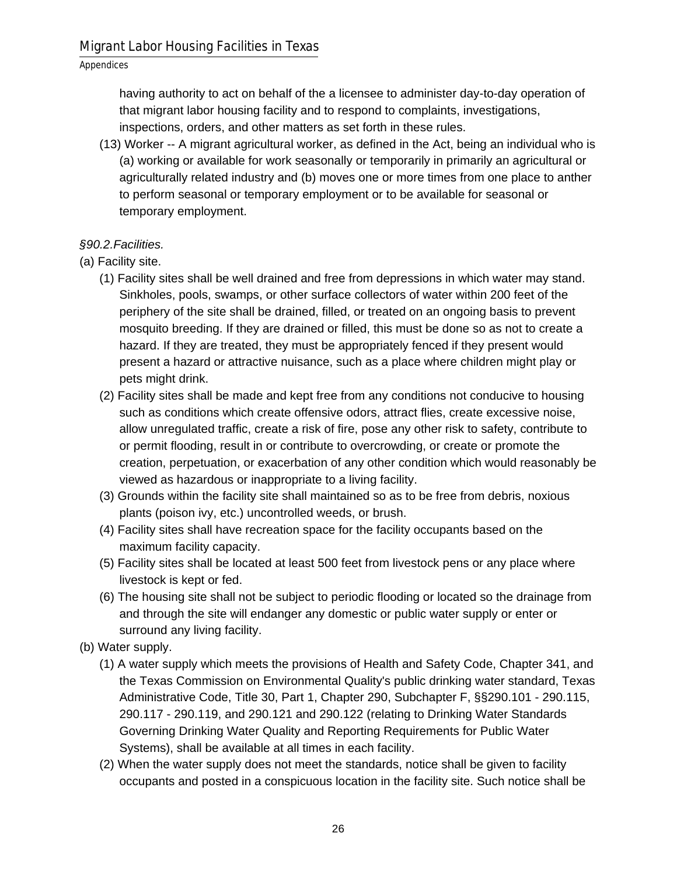having authority to act on behalf of the a licensee to administer day-to-day operation of that migrant labor housing facility and to respond to complaints, investigations, inspections, orders, and other matters as set forth in these rules.

(13) Worker -- A migrant agricultural worker, as defined in the Act, being an individual who is (a) working or available for work seasonally or temporarily in primarily an agricultural or agriculturally related industry and (b) moves one or more times from one place to anther to perform seasonal or temporary employment or to be available for seasonal or temporary employment.

## *§90.2.Facilities.*

## (a) Facility site.

- (1) Facility sites shall be well drained and free from depressions in which water may stand. Sinkholes, pools, swamps, or other surface collectors of water within 200 feet of the periphery of the site shall be drained, filled, or treated on an ongoing basis to prevent mosquito breeding. If they are drained or filled, this must be done so as not to create a hazard. If they are treated, they must be appropriately fenced if they present would present a hazard or attractive nuisance, such as a place where children might play or pets might drink.
- (2) Facility sites shall be made and kept free from any conditions not conducive to housing such as conditions which create offensive odors, attract flies, create excessive noise, allow unregulated traffic, create a risk of fire, pose any other risk to safety, contribute to or permit flooding, result in or contribute to overcrowding, or create or promote the creation, perpetuation, or exacerbation of any other condition which would reasonably be viewed as hazardous or inappropriate to a living facility.
- (3) Grounds within the facility site shall maintained so as to be free from debris, noxious plants (poison ivy, etc.) uncontrolled weeds, or brush.
- (4) Facility sites shall have recreation space for the facility occupants based on the maximum facility capacity.
- (5) Facility sites shall be located at least 500 feet from livestock pens or any place where livestock is kept or fed.
- (6) The housing site shall not be subject to periodic flooding or located so the drainage from and through the site will endanger any domestic or public water supply or enter or surround any living facility.
- (b) Water supply.
	- (1) A water supply which meets the provisions of Health and Safety Code, Chapter 341, and the Texas Commission on Environmental Quality's public drinking water standard, Texas Administrative Code, Title 30, Part 1, Chapter 290, Subchapter F, §§290.101 - 290.115, 290.117 - 290.119, and 290.121 and 290.122 (relating to Drinking Water Standards Governing Drinking Water Quality and Reporting Requirements for Public Water Systems), shall be available at all times in each facility.
	- (2) When the water supply does not meet the standards, notice shall be given to facility occupants and posted in a conspicuous location in the facility site. Such notice shall be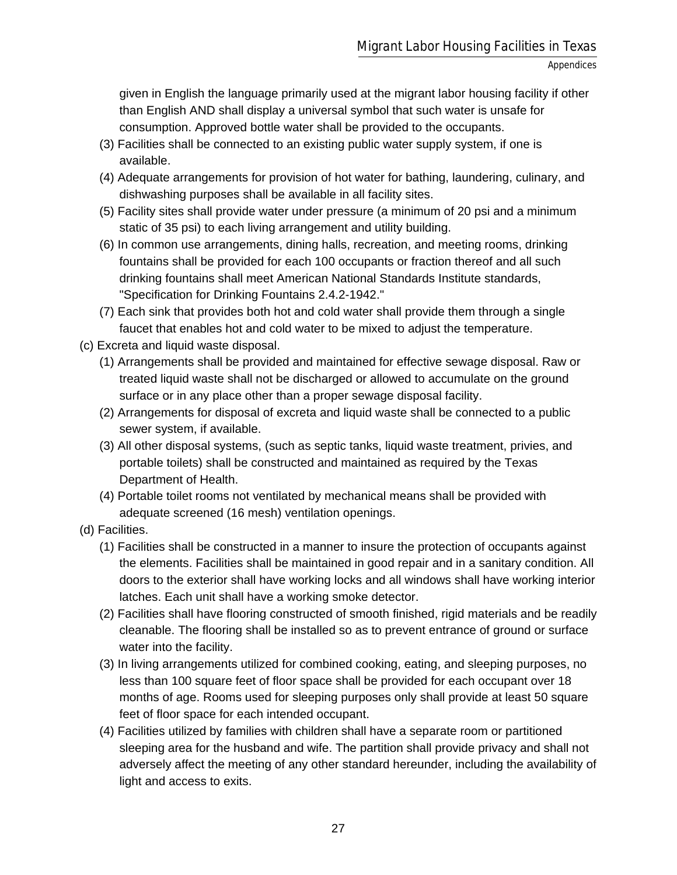given in English the language primarily used at the migrant labor housing facility if other than English AND shall display a universal symbol that such water is unsafe for consumption. Approved bottle water shall be provided to the occupants.

- (3) Facilities shall be connected to an existing public water supply system, if one is available.
- (4) Adequate arrangements for provision of hot water for bathing, laundering, culinary, and dishwashing purposes shall be available in all facility sites.
- (5) Facility sites shall provide water under pressure (a minimum of 20 psi and a minimum static of 35 psi) to each living arrangement and utility building.
- (6) In common use arrangements, dining halls, recreation, and meeting rooms, drinking fountains shall be provided for each 100 occupants or fraction thereof and all such drinking fountains shall meet American National Standards Institute standards, "Specification for Drinking Fountains 2.4.2-1942."
- (7) Each sink that provides both hot and cold water shall provide them through a single faucet that enables hot and cold water to be mixed to adjust the temperature.
- (c) Excreta and liquid waste disposal.
	- (1) Arrangements shall be provided and maintained for effective sewage disposal. Raw or treated liquid waste shall not be discharged or allowed to accumulate on the ground surface or in any place other than a proper sewage disposal facility.
	- (2) Arrangements for disposal of excreta and liquid waste shall be connected to a public sewer system, if available.
	- (3) All other disposal systems, (such as septic tanks, liquid waste treatment, privies, and portable toilets) shall be constructed and maintained as required by the Texas Department of Health.
	- (4) Portable toilet rooms not ventilated by mechanical means shall be provided with adequate screened (16 mesh) ventilation openings.
- (d) Facilities.
	- (1) Facilities shall be constructed in a manner to insure the protection of occupants against the elements. Facilities shall be maintained in good repair and in a sanitary condition. All doors to the exterior shall have working locks and all windows shall have working interior latches. Each unit shall have a working smoke detector.
	- (2) Facilities shall have flooring constructed of smooth finished, rigid materials and be readily cleanable. The flooring shall be installed so as to prevent entrance of ground or surface water into the facility.
	- (3) In living arrangements utilized for combined cooking, eating, and sleeping purposes, no less than 100 square feet of floor space shall be provided for each occupant over 18 months of age. Rooms used for sleeping purposes only shall provide at least 50 square feet of floor space for each intended occupant.
	- (4) Facilities utilized by families with children shall have a separate room or partitioned sleeping area for the husband and wife. The partition shall provide privacy and shall not adversely affect the meeting of any other standard hereunder, including the availability of light and access to exits.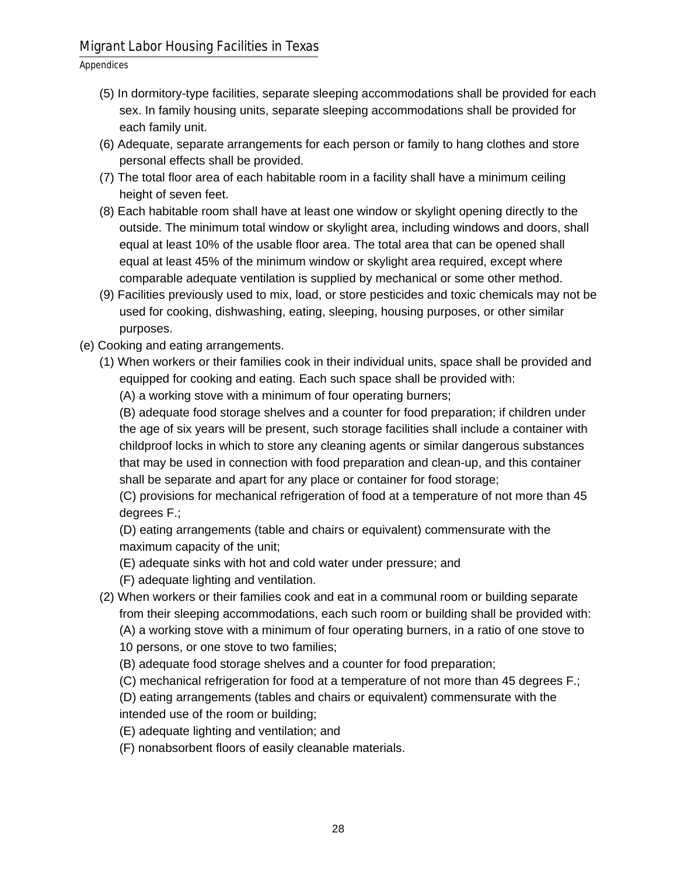- (5) In dormitory-type facilities, separate sleeping accommodations shall be provided for each sex. In family housing units, separate sleeping accommodations shall be provided for each family unit.
- (6) Adequate, separate arrangements for each person or family to hang clothes and store personal effects shall be provided.
- (7) The total floor area of each habitable room in a facility shall have a minimum ceiling height of seven feet.
- (8) Each habitable room shall have at least one window or skylight opening directly to the outside. The minimum total window or skylight area, including windows and doors, shall equal at least 10% of the usable floor area. The total area that can be opened shall equal at least 45% of the minimum window or skylight area required, except where comparable adequate ventilation is supplied by mechanical or some other method.
- (9) Facilities previously used to mix, load, or store pesticides and toxic chemicals may not be used for cooking, dishwashing, eating, sleeping, housing purposes, or other similar purposes.
- (e) Cooking and eating arrangements.
	- (1) When workers or their families cook in their individual units, space shall be provided and equipped for cooking and eating. Each such space shall be provided with:
		- (A) a working stove with a minimum of four operating burners;

(B) adequate food storage shelves and a counter for food preparation; if children under the age of six years will be present, such storage facilities shall include a container with childproof locks in which to store any cleaning agents or similar dangerous substances that may be used in connection with food preparation and clean-up, and this container shall be separate and apart for any place or container for food storage;

(C) provisions for mechanical refrigeration of food at a temperature of not more than 45 degrees F.;

(D) eating arrangements (table and chairs or equivalent) commensurate with the maximum capacity of the unit;

- (E) adequate sinks with hot and cold water under pressure; and
- (F) adequate lighting and ventilation.
- (2) When workers or their families cook and eat in a communal room or building separate from their sleeping accommodations, each such room or building shall be provided with:
	- (A) a working stove with a minimum of four operating burners, in a ratio of one stove to
	- 10 persons, or one stove to two families;
	- (B) adequate food storage shelves and a counter for food preparation;
	- (C) mechanical refrigeration for food at a temperature of not more than 45 degrees F.;

(D) eating arrangements (tables and chairs or equivalent) commensurate with the intended use of the room or building;

(E) adequate lighting and ventilation; and

(F) nonabsorbent floors of easily cleanable materials.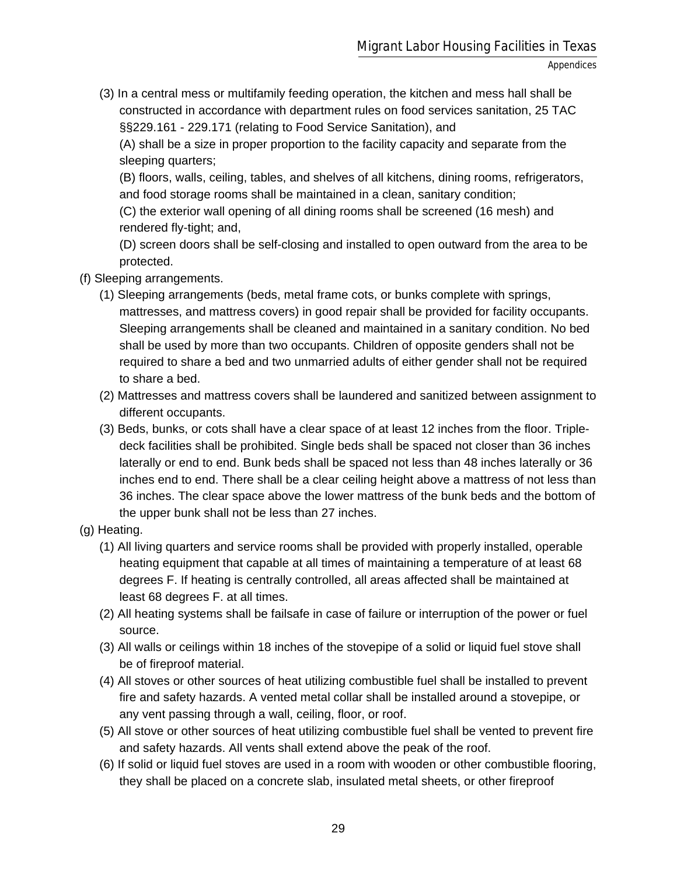(3) In a central mess or multifamily feeding operation, the kitchen and mess hall shall be constructed in accordance with department rules on food services sanitation, 25 TAC §§229.161 - 229.171 (relating to Food Service Sanitation), and

(A) shall be a size in proper proportion to the facility capacity and separate from the sleeping quarters;

(B) floors, walls, ceiling, tables, and shelves of all kitchens, dining rooms, refrigerators, and food storage rooms shall be maintained in a clean, sanitary condition;

(C) the exterior wall opening of all dining rooms shall be screened (16 mesh) and rendered fly-tight; and,

(D) screen doors shall be self-closing and installed to open outward from the area to be protected.

- (f) Sleeping arrangements.
	- (1) Sleeping arrangements (beds, metal frame cots, or bunks complete with springs, mattresses, and mattress covers) in good repair shall be provided for facility occupants. Sleeping arrangements shall be cleaned and maintained in a sanitary condition. No bed shall be used by more than two occupants. Children of opposite genders shall not be required to share a bed and two unmarried adults of either gender shall not be required to share a bed.
	- (2) Mattresses and mattress covers shall be laundered and sanitized between assignment to different occupants.
	- (3) Beds, bunks, or cots shall have a clear space of at least 12 inches from the floor. Tripledeck facilities shall be prohibited. Single beds shall be spaced not closer than 36 inches laterally or end to end. Bunk beds shall be spaced not less than 48 inches laterally or 36 inches end to end. There shall be a clear ceiling height above a mattress of not less than 36 inches. The clear space above the lower mattress of the bunk beds and the bottom of the upper bunk shall not be less than 27 inches.
- (g) Heating.
	- (1) All living quarters and service rooms shall be provided with properly installed, operable heating equipment that capable at all times of maintaining a temperature of at least 68 degrees F. If heating is centrally controlled, all areas affected shall be maintained at least 68 degrees F. at all times.
	- (2) All heating systems shall be failsafe in case of failure or interruption of the power or fuel source.
	- (3) All walls or ceilings within 18 inches of the stovepipe of a solid or liquid fuel stove shall be of fireproof material.
	- (4) All stoves or other sources of heat utilizing combustible fuel shall be installed to prevent fire and safety hazards. A vented metal collar shall be installed around a stovepipe, or any vent passing through a wall, ceiling, floor, or roof.
	- (5) All stove or other sources of heat utilizing combustible fuel shall be vented to prevent fire and safety hazards. All vents shall extend above the peak of the roof.
	- (6) If solid or liquid fuel stoves are used in a room with wooden or other combustible flooring, they shall be placed on a concrete slab, insulated metal sheets, or other fireproof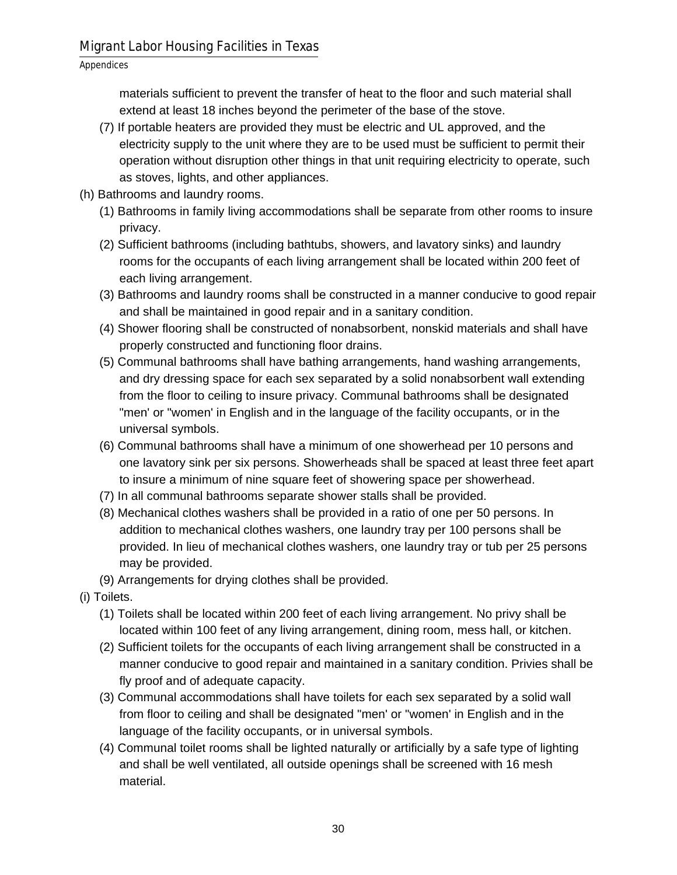materials sufficient to prevent the transfer of heat to the floor and such material shall extend at least 18 inches beyond the perimeter of the base of the stove.

- (7) If portable heaters are provided they must be electric and UL approved, and the electricity supply to the unit where they are to be used must be sufficient to permit their operation without disruption other things in that unit requiring electricity to operate, such as stoves, lights, and other appliances.
- (h) Bathrooms and laundry rooms.
	- (1) Bathrooms in family living accommodations shall be separate from other rooms to insure privacy.
	- (2) Sufficient bathrooms (including bathtubs, showers, and lavatory sinks) and laundry rooms for the occupants of each living arrangement shall be located within 200 feet of each living arrangement.
	- (3) Bathrooms and laundry rooms shall be constructed in a manner conducive to good repair and shall be maintained in good repair and in a sanitary condition.
	- (4) Shower flooring shall be constructed of nonabsorbent, nonskid materials and shall have properly constructed and functioning floor drains.
	- (5) Communal bathrooms shall have bathing arrangements, hand washing arrangements, and dry dressing space for each sex separated by a solid nonabsorbent wall extending from the floor to ceiling to insure privacy. Communal bathrooms shall be designated "men' or "women' in English and in the language of the facility occupants, or in the universal symbols.
	- (6) Communal bathrooms shall have a minimum of one showerhead per 10 persons and one lavatory sink per six persons. Showerheads shall be spaced at least three feet apart to insure a minimum of nine square feet of showering space per showerhead.
	- (7) In all communal bathrooms separate shower stalls shall be provided.
	- (8) Mechanical clothes washers shall be provided in a ratio of one per 50 persons. In addition to mechanical clothes washers, one laundry tray per 100 persons shall be provided. In lieu of mechanical clothes washers, one laundry tray or tub per 25 persons may be provided.
	- (9) Arrangements for drying clothes shall be provided.
- (i) Toilets.
	- (1) Toilets shall be located within 200 feet of each living arrangement. No privy shall be located within 100 feet of any living arrangement, dining room, mess hall, or kitchen.
	- (2) Sufficient toilets for the occupants of each living arrangement shall be constructed in a manner conducive to good repair and maintained in a sanitary condition. Privies shall be fly proof and of adequate capacity.
	- (3) Communal accommodations shall have toilets for each sex separated by a solid wall from floor to ceiling and shall be designated "men' or "women' in English and in the language of the facility occupants, or in universal symbols.
	- (4) Communal toilet rooms shall be lighted naturally or artificially by a safe type of lighting and shall be well ventilated, all outside openings shall be screened with 16 mesh material.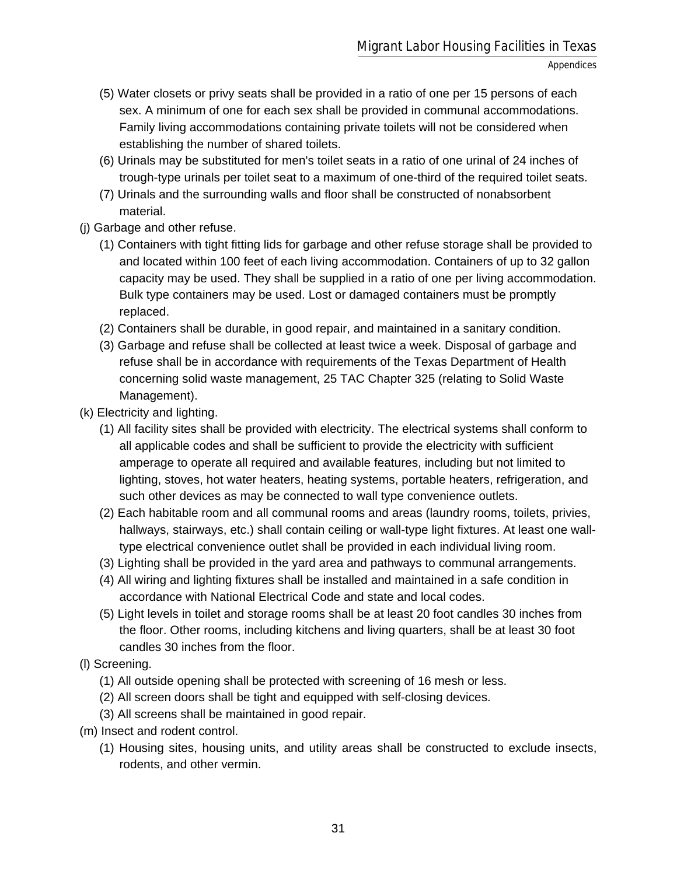- (5) Water closets or privy seats shall be provided in a ratio of one per 15 persons of each sex. A minimum of one for each sex shall be provided in communal accommodations. Family living accommodations containing private toilets will not be considered when establishing the number of shared toilets.
- (6) Urinals may be substituted for men's toilet seats in a ratio of one urinal of 24 inches of trough-type urinals per toilet seat to a maximum of one-third of the required toilet seats.
- (7) Urinals and the surrounding walls and floor shall be constructed of nonabsorbent material.
- (j) Garbage and other refuse.
	- (1) Containers with tight fitting lids for garbage and other refuse storage shall be provided to and located within 100 feet of each living accommodation. Containers of up to 32 gallon capacity may be used. They shall be supplied in a ratio of one per living accommodation. Bulk type containers may be used. Lost or damaged containers must be promptly replaced.
	- (2) Containers shall be durable, in good repair, and maintained in a sanitary condition.
	- (3) Garbage and refuse shall be collected at least twice a week. Disposal of garbage and refuse shall be in accordance with requirements of the Texas Department of Health concerning solid waste management, 25 TAC Chapter 325 (relating to Solid Waste Management).
- (k) Electricity and lighting.
	- (1) All facility sites shall be provided with electricity. The electrical systems shall conform to all applicable codes and shall be sufficient to provide the electricity with sufficient amperage to operate all required and available features, including but not limited to lighting, stoves, hot water heaters, heating systems, portable heaters, refrigeration, and such other devices as may be connected to wall type convenience outlets.
	- (2) Each habitable room and all communal rooms and areas (laundry rooms, toilets, privies, hallways, stairways, etc.) shall contain ceiling or wall-type light fixtures. At least one walltype electrical convenience outlet shall be provided in each individual living room.
	- (3) Lighting shall be provided in the yard area and pathways to communal arrangements.
	- (4) All wiring and lighting fixtures shall be installed and maintained in a safe condition in accordance with National Electrical Code and state and local codes.
	- (5) Light levels in toilet and storage rooms shall be at least 20 foot candles 30 inches from the floor. Other rooms, including kitchens and living quarters, shall be at least 30 foot candles 30 inches from the floor.
- (l) Screening.
	- (1) All outside opening shall be protected with screening of 16 mesh or less.
	- (2) All screen doors shall be tight and equipped with self-closing devices.
	- (3) All screens shall be maintained in good repair.
- (m) Insect and rodent control.
	- (1) Housing sites, housing units, and utility areas shall be constructed to exclude insects, rodents, and other vermin.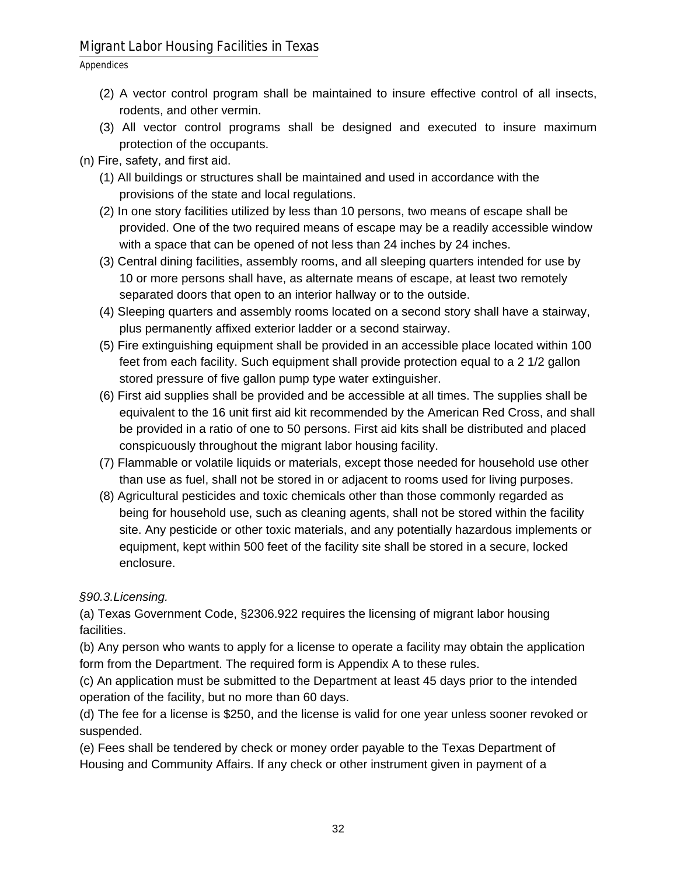- (2) A vector control program shall be maintained to insure effective control of all insects, rodents, and other vermin.
- (3) All vector control programs shall be designed and executed to insure maximum protection of the occupants.
- (n) Fire, safety, and first aid.
	- (1) All buildings or structures shall be maintained and used in accordance with the provisions of the state and local regulations.
	- (2) In one story facilities utilized by less than 10 persons, two means of escape shall be provided. One of the two required means of escape may be a readily accessible window with a space that can be opened of not less than 24 inches by 24 inches.
	- (3) Central dining facilities, assembly rooms, and all sleeping quarters intended for use by 10 or more persons shall have, as alternate means of escape, at least two remotely separated doors that open to an interior hallway or to the outside.
	- (4) Sleeping quarters and assembly rooms located on a second story shall have a stairway, plus permanently affixed exterior ladder or a second stairway.
	- (5) Fire extinguishing equipment shall be provided in an accessible place located within 100 feet from each facility. Such equipment shall provide protection equal to a 2 1/2 gallon stored pressure of five gallon pump type water extinguisher.
	- (6) First aid supplies shall be provided and be accessible at all times. The supplies shall be equivalent to the 16 unit first aid kit recommended by the American Red Cross, and shall be provided in a ratio of one to 50 persons. First aid kits shall be distributed and placed conspicuously throughout the migrant labor housing facility.
	- (7) Flammable or volatile liquids or materials, except those needed for household use other than use as fuel, shall not be stored in or adjacent to rooms used for living purposes.
	- (8) Agricultural pesticides and toxic chemicals other than those commonly regarded as being for household use, such as cleaning agents, shall not be stored within the facility site. Any pesticide or other toxic materials, and any potentially hazardous implements or equipment, kept within 500 feet of the facility site shall be stored in a secure, locked enclosure.

*§90.3.Licensing.* 

(a) Texas Government Code, §2306.922 requires the licensing of migrant labor housing facilities.

(b) Any person who wants to apply for a license to operate a facility may obtain the application form from the Department. The required form is Appendix A to these rules.

(c) An application must be submitted to the Department at least 45 days prior to the intended operation of the facility, but no more than 60 days.

(d) The fee for a license is \$250, and the license is valid for one year unless sooner revoked or suspended.

(e) Fees shall be tendered by check or money order payable to the Texas Department of Housing and Community Affairs. If any check or other instrument given in payment of a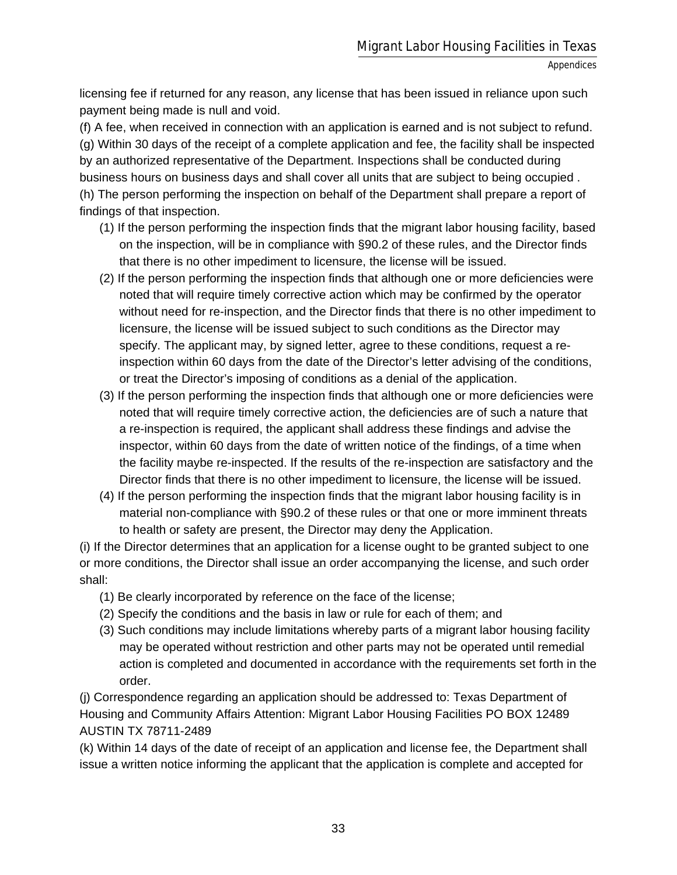licensing fee if returned for any reason, any license that has been issued in reliance upon such payment being made is null and void.

(f) A fee, when received in connection with an application is earned and is not subject to refund. (g) Within 30 days of the receipt of a complete application and fee, the facility shall be inspected by an authorized representative of the Department. Inspections shall be conducted during business hours on business days and shall cover all units that are subject to being occupied . (h) The person performing the inspection on behalf of the Department shall prepare a report of findings of that inspection.

- (1) If the person performing the inspection finds that the migrant labor housing facility, based on the inspection, will be in compliance with §90.2 of these rules, and the Director finds that there is no other impediment to licensure, the license will be issued.
- (2) If the person performing the inspection finds that although one or more deficiencies were noted that will require timely corrective action which may be confirmed by the operator without need for re-inspection, and the Director finds that there is no other impediment to licensure, the license will be issued subject to such conditions as the Director may specify. The applicant may, by signed letter, agree to these conditions, request a reinspection within 60 days from the date of the Director's letter advising of the conditions, or treat the Director's imposing of conditions as a denial of the application.
- (3) If the person performing the inspection finds that although one or more deficiencies were noted that will require timely corrective action, the deficiencies are of such a nature that a re-inspection is required, the applicant shall address these findings and advise the inspector, within 60 days from the date of written notice of the findings, of a time when the facility maybe re-inspected. If the results of the re-inspection are satisfactory and the Director finds that there is no other impediment to licensure, the license will be issued.
- (4) If the person performing the inspection finds that the migrant labor housing facility is in material non-compliance with §90.2 of these rules or that one or more imminent threats to health or safety are present, the Director may deny the Application.

(i) If the Director determines that an application for a license ought to be granted subject to one or more conditions, the Director shall issue an order accompanying the license, and such order shall:

- (1) Be clearly incorporated by reference on the face of the license;
- (2) Specify the conditions and the basis in law or rule for each of them; and
- (3) Such conditions may include limitations whereby parts of a migrant labor housing facility may be operated without restriction and other parts may not be operated until remedial action is completed and documented in accordance with the requirements set forth in the order.

(j) Correspondence regarding an application should be addressed to: Texas Department of Housing and Community Affairs Attention: Migrant Labor Housing Facilities PO BOX 12489 AUSTIN TX 78711-2489

(k) Within 14 days of the date of receipt of an application and license fee, the Department shall issue a written notice informing the applicant that the application is complete and accepted for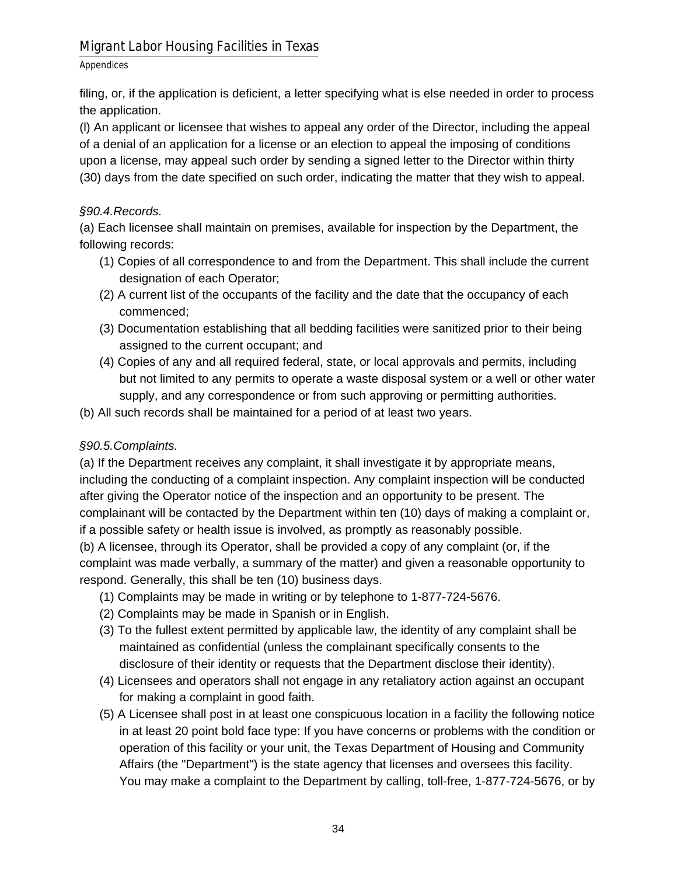#### *Appendices*

filing, or, if the application is deficient, a letter specifying what is else needed in order to process the application.

(l) An applicant or licensee that wishes to appeal any order of the Director, including the appeal of a denial of an application for a license or an election to appeal the imposing of conditions upon a license, may appeal such order by sending a signed letter to the Director within thirty (30) days from the date specified on such order, indicating the matter that they wish to appeal.

#### *§90.4.Records.*

(a) Each licensee shall maintain on premises, available for inspection by the Department, the following records:

- (1) Copies of all correspondence to and from the Department. This shall include the current designation of each Operator;
- (2) A current list of the occupants of the facility and the date that the occupancy of each commenced;
- (3) Documentation establishing that all bedding facilities were sanitized prior to their being assigned to the current occupant; and
- (4) Copies of any and all required federal, state, or local approvals and permits, including but not limited to any permits to operate a waste disposal system or a well or other water supply, and any correspondence or from such approving or permitting authorities.
- (b) All such records shall be maintained for a period of at least two years.

#### *§90.5.Complaints.*

(a) If the Department receives any complaint, it shall investigate it by appropriate means, including the conducting of a complaint inspection. Any complaint inspection will be conducted after giving the Operator notice of the inspection and an opportunity to be present. The complainant will be contacted by the Department within ten (10) days of making a complaint or, if a possible safety or health issue is involved, as promptly as reasonably possible.

(b) A licensee, through its Operator, shall be provided a copy of any complaint (or, if the complaint was made verbally, a summary of the matter) and given a reasonable opportunity to respond. Generally, this shall be ten (10) business days.

- (1) Complaints may be made in writing or by telephone to 1-877-724-5676.
- (2) Complaints may be made in Spanish or in English.
- (3) To the fullest extent permitted by applicable law, the identity of any complaint shall be maintained as confidential (unless the complainant specifically consents to the disclosure of their identity or requests that the Department disclose their identity).
- (4) Licensees and operators shall not engage in any retaliatory action against an occupant for making a complaint in good faith.
- (5) A Licensee shall post in at least one conspicuous location in a facility the following notice in at least 20 point bold face type: If you have concerns or problems with the condition or operation of this facility or your unit, the Texas Department of Housing and Community Affairs (the "Department") is the state agency that licenses and oversees this facility. You may make a complaint to the Department by calling, toll-free, 1-877-724-5676, or by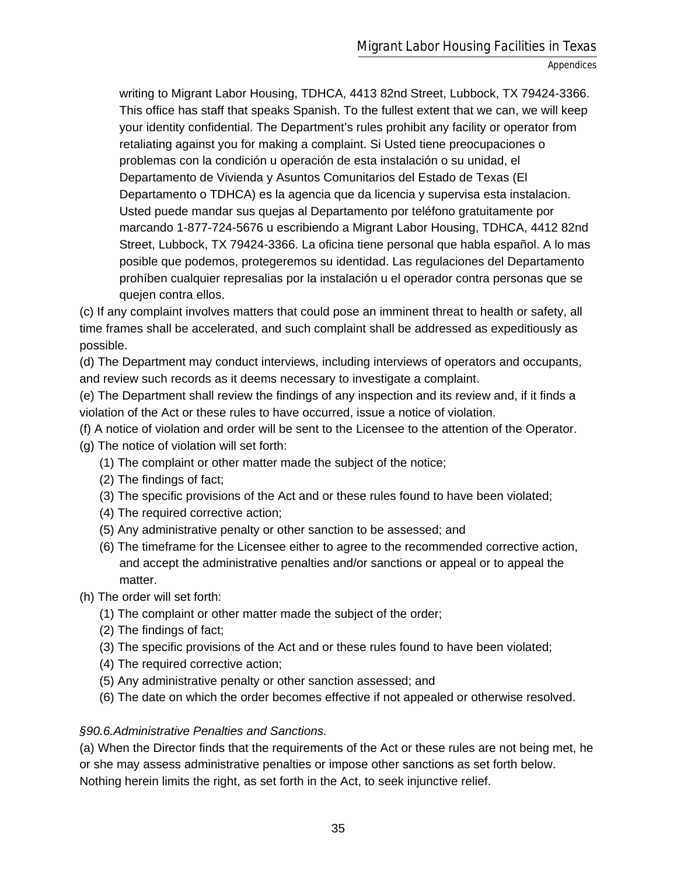writing to Migrant Labor Housing, TDHCA, 4413 82nd Street, Lubbock, TX 79424-3366. This office has staff that speaks Spanish. To the fullest extent that we can, we will keep your identity confidential. The Department's rules prohibit any facility or operator from retaliating against you for making a complaint. Si Usted tiene preocupaciones o problemas con la condición u operación de esta instalación o su unidad, el Departamento de Vivienda y Asuntos Comunitarios del Estado de Texas (El Departamento o TDHCA) es la agencia que da licencia y supervisa esta instalacion. Usted puede mandar sus quejas al Departamento por teléfono gratuitamente por marcando 1-877-724-5676 u escribiendo a Migrant Labor Housing, TDHCA, 4412 82nd Street, Lubbock, TX 79424-3366. La oficina tiene personal que habla español. A lo mas posible que podemos, protegeremos su identidad. Las regulaciones del Departamento prohíben cualquier represalias por la instalación u el operador contra personas que se quejen contra ellos.

(c) If any complaint involves matters that could pose an imminent threat to health or safety, all time frames shall be accelerated, and such complaint shall be addressed as expeditiously as possible.

(d) The Department may conduct interviews, including interviews of operators and occupants, and review such records as it deems necessary to investigate a complaint.

(e) The Department shall review the findings of any inspection and its review and, if it finds a violation of the Act or these rules to have occurred, issue a notice of violation.

(f) A notice of violation and order will be sent to the Licensee to the attention of the Operator. (g) The notice of violation will set forth:

- (1) The complaint or other matter made the subject of the notice;
- (2) The findings of fact;
- (3) The specific provisions of the Act and or these rules found to have been violated;
- (4) The required corrective action;
- (5) Any administrative penalty or other sanction to be assessed; and
- (6) The timeframe for the Licensee either to agree to the recommended corrective action, and accept the administrative penalties and/or sanctions or appeal or to appeal the matter.
- (h) The order will set forth:
	- (1) The complaint or other matter made the subject of the order;
	- (2) The findings of fact;
	- (3) The specific provisions of the Act and or these rules found to have been violated;
	- (4) The required corrective action;
	- (5) Any administrative penalty or other sanction assessed; and
	- (6) The date on which the order becomes effective if not appealed or otherwise resolved.

#### *§90.6.Administrative Penalties and Sanctions.*

(a) When the Director finds that the requirements of the Act or these rules are not being met, he or she may assess administrative penalties or impose other sanctions as set forth below. Nothing herein limits the right, as set forth in the Act, to seek injunctive relief.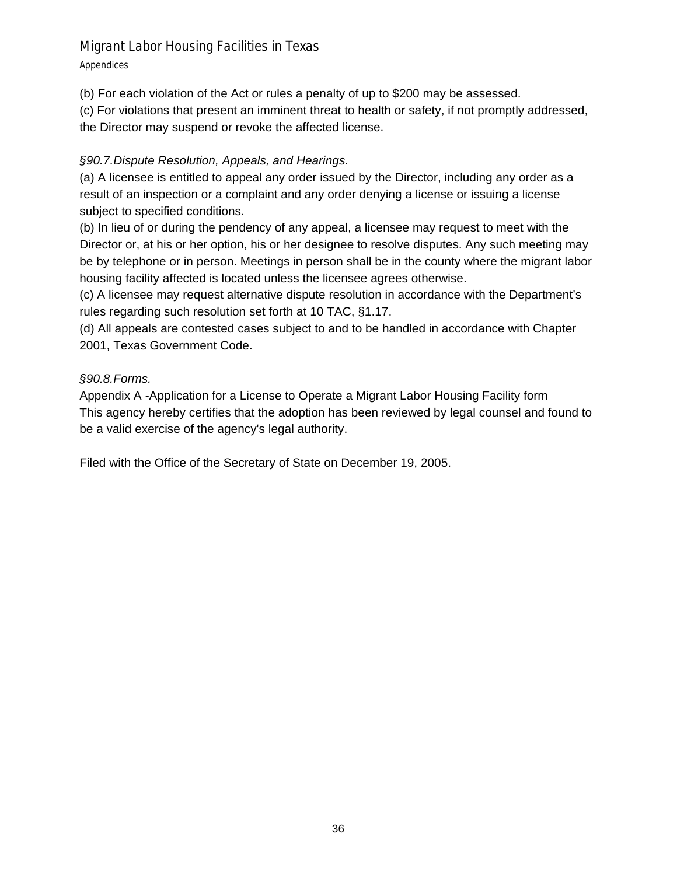(b) For each violation of the Act or rules a penalty of up to \$200 may be assessed.

(c) For violations that present an imminent threat to health or safety, if not promptly addressed, the Director may suspend or revoke the affected license.

# *§90.7.Dispute Resolution, Appeals, and Hearings.*

(a) A licensee is entitled to appeal any order issued by the Director, including any order as a result of an inspection or a complaint and any order denying a license or issuing a license subject to specified conditions.

(b) In lieu of or during the pendency of any appeal, a licensee may request to meet with the Director or, at his or her option, his or her designee to resolve disputes. Any such meeting may be by telephone or in person. Meetings in person shall be in the county where the migrant labor housing facility affected is located unless the licensee agrees otherwise.

(c) A licensee may request alternative dispute resolution in accordance with the Department's rules regarding such resolution set forth at 10 TAC, §1.17.

(d) All appeals are contested cases subject to and to be handled in accordance with Chapter 2001, Texas Government Code.

# *§90.8.Forms.*

Appendix A -Application for a License to Operate a Migrant Labor Housing Facility form This agency hereby certifies that the adoption has been reviewed by legal counsel and found to be a valid exercise of the agency's legal authority.

Filed with the Office of the Secretary of State on December 19, 2005.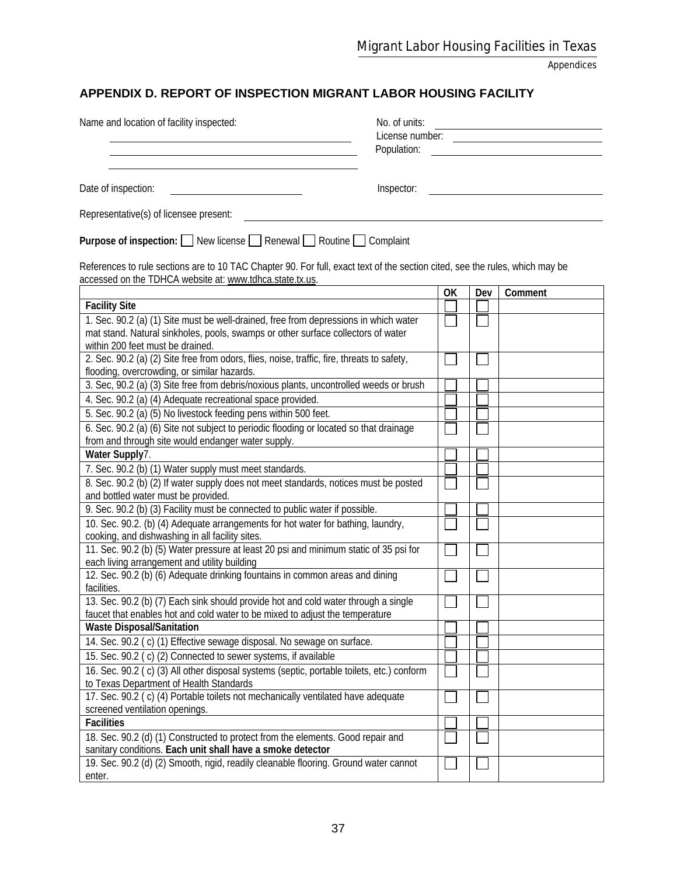# **APPENDIX D. REPORT OF INSPECTION MIGRANT LABOR HOUSING FACILITY**

| Name and location of facility inspected:                                                                                     |             | No. of units:<br>License number: <u>_____________________</u> |     |         |
|------------------------------------------------------------------------------------------------------------------------------|-------------|---------------------------------------------------------------|-----|---------|
|                                                                                                                              | Population: |                                                               |     |         |
|                                                                                                                              |             |                                                               |     |         |
| Date of inspection:                                                                                                          | Inspector:  |                                                               |     |         |
| Representative(s) of licensee present:                                                                                       |             |                                                               |     |         |
|                                                                                                                              |             |                                                               |     |         |
| <b>Purpose of inspection:</b> New license Renewal Routine Complaint                                                          |             |                                                               |     |         |
| References to rule sections are to 10 TAC Chapter 90. For full, exact text of the section cited, see the rules, which may be |             |                                                               |     |         |
| accessed on the TDHCA website at: www.tdhca.state.tx.us.                                                                     |             |                                                               |     |         |
|                                                                                                                              |             | OK                                                            | Dev | Comment |
| <b>Facility Site</b>                                                                                                         |             |                                                               |     |         |
| 1. Sec. 90.2 (a) (1) Site must be well-drained, free from depressions in which water                                         |             |                                                               |     |         |
| mat stand. Natural sinkholes, pools, swamps or other surface collectors of water                                             |             |                                                               |     |         |
| within 200 feet must be drained.                                                                                             |             |                                                               |     |         |
| 2. Sec. 90.2 (a) (2) Site free from odors, flies, noise, traffic, fire, threats to safety,                                   |             |                                                               |     |         |
| flooding, overcrowding, or similar hazards.                                                                                  |             |                                                               |     |         |
| 3. Sec, 90.2 (a) (3) Site free from debris/noxious plants, uncontrolled weeds or brush                                       |             |                                                               |     |         |
| 4. Sec. 90.2 (a) (4) Adequate recreational space provided.                                                                   |             |                                                               |     |         |
| 5. Sec. 90.2 (a) (5) No livestock feeding pens within 500 feet.                                                              |             |                                                               |     |         |
| 6. Sec. 90.2 (a) (6) Site not subject to periodic flooding or located so that drainage                                       |             |                                                               |     |         |
| from and through site would endanger water supply.                                                                           |             |                                                               |     |         |
| Water Supply7.                                                                                                               |             |                                                               |     |         |
| 7. Sec. 90.2 (b) (1) Water supply must meet standards.                                                                       |             |                                                               |     |         |
| 8. Sec. 90.2 (b) (2) If water supply does not meet standards, notices must be posted                                         |             |                                                               |     |         |
| and bottled water must be provided.                                                                                          |             |                                                               |     |         |
| 9. Sec. 90.2 (b) (3) Facility must be connected to public water if possible.                                                 |             |                                                               |     |         |
| 10. Sec. 90.2. (b) (4) Adequate arrangements for hot water for bathing, laundry,                                             |             |                                                               |     |         |
| cooking, and dishwashing in all facility sites.                                                                              |             |                                                               |     |         |
| 11. Sec. 90.2 (b) (5) Water pressure at least 20 psi and minimum static of 35 psi for                                        |             |                                                               |     |         |
| each living arrangement and utility building                                                                                 |             |                                                               |     |         |
| 12. Sec. 90.2 (b) (6) Adequate drinking fountains in common areas and dining<br>facilities.                                  |             |                                                               |     |         |
| 13. Sec. 90.2 (b) (7) Each sink should provide hot and cold water through a single                                           |             |                                                               |     |         |
| faucet that enables hot and cold water to be mixed to adjust the temperature                                                 |             |                                                               |     |         |
| <b>Waste Disposal/Sanitation</b>                                                                                             |             |                                                               |     |         |
| 14. Sec. 90.2 (c) (1) Effective sewage disposal. No sewage on surface.                                                       |             |                                                               |     |         |
| 15. Sec. 90.2 (c) (2) Connected to sewer systems, if available                                                               |             |                                                               |     |         |
| 16. Sec. 90.2 (c) (3) All other disposal systems (septic, portable toilets, etc.) conform                                    |             |                                                               |     |         |
| to Texas Department of Health Standards                                                                                      |             |                                                               |     |         |
| 17. Sec. 90.2 (c) (4) Portable toilets not mechanically ventilated have adequate                                             |             |                                                               |     |         |
| screened ventilation openings.                                                                                               |             |                                                               |     |         |
| <b>Facilities</b>                                                                                                            |             |                                                               |     |         |
| 18. Sec. 90.2 (d) (1) Constructed to protect from the elements. Good repair and                                              |             |                                                               |     |         |
| sanitary conditions. Each unit shall have a smoke detector                                                                   |             |                                                               |     |         |
| 19. Sec. 90.2 (d) (2) Smooth, rigid, readily cleanable flooring. Ground water cannot                                         |             |                                                               |     |         |
| enter.                                                                                                                       |             |                                                               |     |         |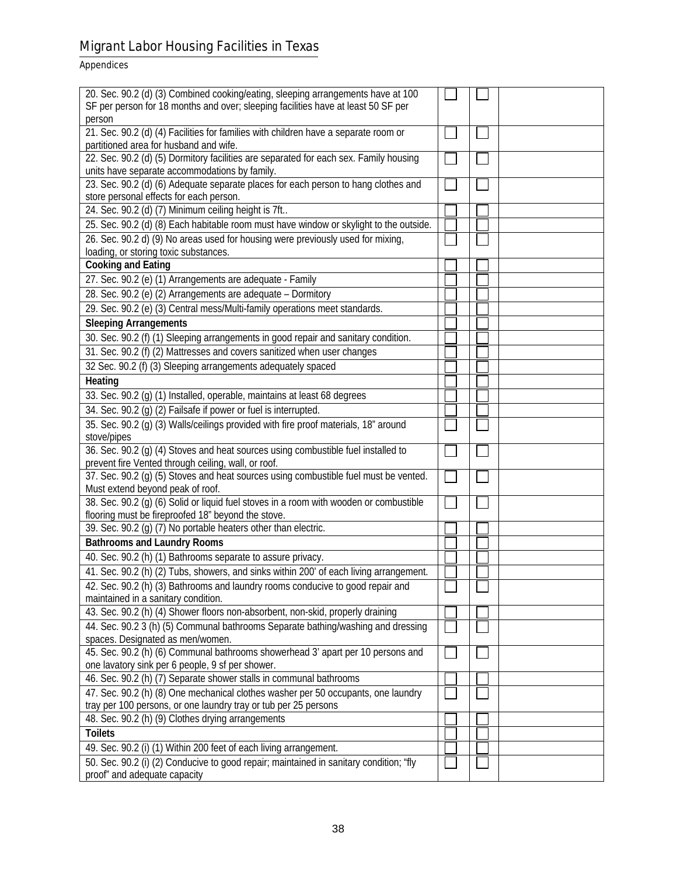| 20. Sec. 90.2 (d) (3) Combined cooking/eating, sleeping arrangements have at 100<br>SF per person for 18 months and over; sleeping facilities have at least 50 SF per |  |  |  |
|-----------------------------------------------------------------------------------------------------------------------------------------------------------------------|--|--|--|
| person                                                                                                                                                                |  |  |  |
| 21. Sec. 90.2 (d) (4) Facilities for families with children have a separate room or                                                                                   |  |  |  |
| partitioned area for husband and wife.                                                                                                                                |  |  |  |
| 22. Sec. 90.2 (d) (5) Dormitory facilities are separated for each sex. Family housing                                                                                 |  |  |  |
| units have separate accommodations by family.                                                                                                                         |  |  |  |
| 23. Sec. 90.2 (d) (6) Adequate separate places for each person to hang clothes and                                                                                    |  |  |  |
| store personal effects for each person.                                                                                                                               |  |  |  |
| 24. Sec. 90.2 (d) (7) Minimum ceiling height is 7ft                                                                                                                   |  |  |  |
| 25. Sec. 90.2 (d) (8) Each habitable room must have window or skylight to the outside.                                                                                |  |  |  |
| 26. Sec. 90.2 d) (9) No areas used for housing were previously used for mixing,                                                                                       |  |  |  |
| loading, or storing toxic substances.                                                                                                                                 |  |  |  |
| <b>Cooking and Eating</b>                                                                                                                                             |  |  |  |
| 27. Sec. 90.2 (e) (1) Arrangements are adequate - Family                                                                                                              |  |  |  |
| 28. Sec. 90.2 (e) (2) Arrangements are adequate - Dormitory                                                                                                           |  |  |  |
| 29. Sec. 90.2 (e) (3) Central mess/Multi-family operations meet standards.                                                                                            |  |  |  |
| <b>Sleeping Arrangements</b>                                                                                                                                          |  |  |  |
| 30. Sec. 90.2 (f) (1) Sleeping arrangements in good repair and sanitary condition.                                                                                    |  |  |  |
| 31. Sec. 90.2 (f) (2) Mattresses and covers sanitized when user changes                                                                                               |  |  |  |
| 32 Sec. 90.2 (f) (3) Sleeping arrangements adequately spaced                                                                                                          |  |  |  |
| Heating                                                                                                                                                               |  |  |  |
|                                                                                                                                                                       |  |  |  |
| 33. Sec. 90.2 (g) (1) Installed, operable, maintains at least 68 degrees                                                                                              |  |  |  |
| 34. Sec. 90.2 (g) (2) Failsafe if power or fuel is interrupted.                                                                                                       |  |  |  |
| 35. Sec. 90.2 (g) (3) Walls/ceilings provided with fire proof materials, 18" around<br>stove/pipes                                                                    |  |  |  |
| 36. Sec. 90.2 (g) (4) Stoves and heat sources using combustible fuel installed to                                                                                     |  |  |  |
| prevent fire Vented through ceiling, wall, or roof.                                                                                                                   |  |  |  |
| 37. Sec. 90.2 (g) (5) Stoves and heat sources using combustible fuel must be vented.                                                                                  |  |  |  |
|                                                                                                                                                                       |  |  |  |
| Must extend beyond peak of roof.                                                                                                                                      |  |  |  |
| 38. Sec. 90.2 (g) (6) Solid or liquid fuel stoves in a room with wooden or combustible                                                                                |  |  |  |
| flooring must be fireproofed 18" beyond the stove.                                                                                                                    |  |  |  |
| 39. Sec. 90.2 (g) (7) No portable heaters other than electric.                                                                                                        |  |  |  |
| <b>Bathrooms and Laundry Rooms</b>                                                                                                                                    |  |  |  |
| 40. Sec. 90.2 (h) (1) Bathrooms separate to assure privacy.                                                                                                           |  |  |  |
| 41. Sec. 90.2 (h) (2) Tubs, showers, and sinks within 200' of each living arrangement.                                                                                |  |  |  |
| 42. Sec. 90.2 (h) (3) Bathrooms and laundry rooms conducive to good repair and                                                                                        |  |  |  |
| maintained in a sanitary condition.                                                                                                                                   |  |  |  |
| 43. Sec. 90.2 (h) (4) Shower floors non-absorbent, non-skid, properly draining                                                                                        |  |  |  |
| 44. Sec. 90.2 3 (h) (5) Communal bathrooms Separate bathing/washing and dressing                                                                                      |  |  |  |
| spaces. Designated as men/women.                                                                                                                                      |  |  |  |
| 45. Sec. 90.2 (h) (6) Communal bathrooms showerhead 3' apart per 10 persons and                                                                                       |  |  |  |
| one lavatory sink per 6 people, 9 sf per shower.                                                                                                                      |  |  |  |
| 46. Sec. 90.2 (h) (7) Separate shower stalls in communal bathrooms                                                                                                    |  |  |  |
| 47. Sec. 90.2 (h) (8) One mechanical clothes washer per 50 occupants, one laundry                                                                                     |  |  |  |
| tray per 100 persons, or one laundry tray or tub per 25 persons                                                                                                       |  |  |  |
| 48. Sec. 90.2 (h) (9) Clothes drying arrangements                                                                                                                     |  |  |  |
| <b>Toilets</b>                                                                                                                                                        |  |  |  |
| 49. Sec. 90.2 (i) (1) Within 200 feet of each living arrangement.                                                                                                     |  |  |  |
| 50. Sec. 90.2 (i) (2) Conducive to good repair; maintained in sanitary condition; "fly<br>proof" and adequate capacity                                                |  |  |  |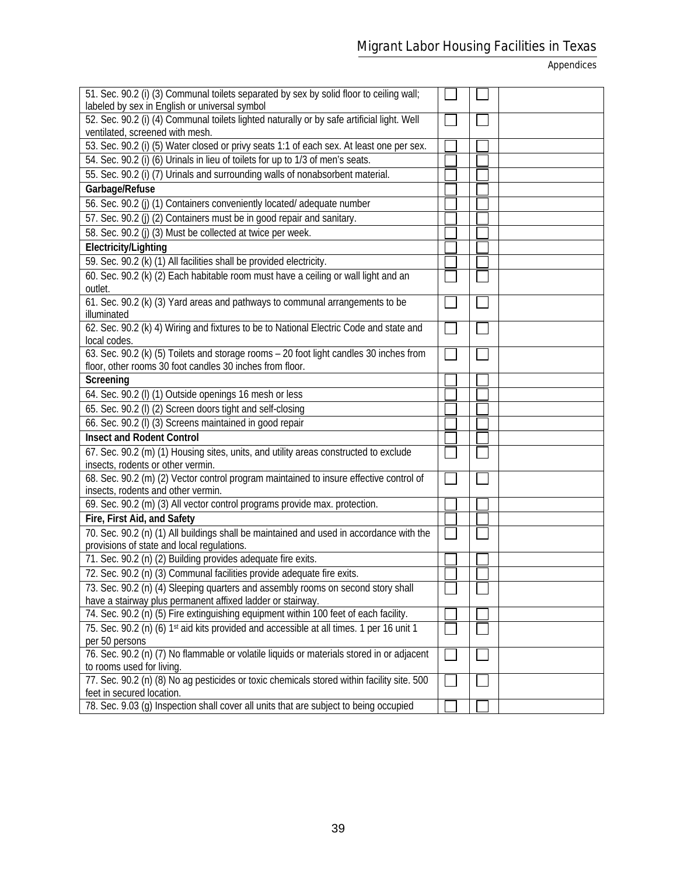*Appendices* 

| 51. Sec. 90.2 (i) (3) Communal toilets separated by sex by solid floor to ceiling wall;                                       |  |  |
|-------------------------------------------------------------------------------------------------------------------------------|--|--|
| labeled by sex in English or universal symbol                                                                                 |  |  |
| 52. Sec. 90.2 (i) (4) Communal toilets lighted naturally or by safe artificial light. Well<br>ventilated, screened with mesh. |  |  |
| 53. Sec. 90.2 (i) (5) Water closed or privy seats 1:1 of each sex. At least one per sex.                                      |  |  |
| 54. Sec. 90.2 (i) (6) Urinals in lieu of toilets for up to 1/3 of men's seats.                                                |  |  |
|                                                                                                                               |  |  |
| 55. Sec. 90.2 (i) (7) Urinals and surrounding walls of nonabsorbent material.                                                 |  |  |
| Garbage/Refuse                                                                                                                |  |  |
| 56. Sec. 90.2 (j) (1) Containers conveniently located/adequate number                                                         |  |  |
| 57. Sec. 90.2 (j) (2) Containers must be in good repair and sanitary.                                                         |  |  |
| 58. Sec. 90.2 (j) (3) Must be collected at twice per week.                                                                    |  |  |
| Electricity/Lighting                                                                                                          |  |  |
| 59. Sec. 90.2 (k) (1) All facilities shall be provided electricity.                                                           |  |  |
| 60. Sec. 90.2 (k) (2) Each habitable room must have a ceiling or wall light and an                                            |  |  |
| outlet.                                                                                                                       |  |  |
| 61. Sec. 90.2 (k) (3) Yard areas and pathways to communal arrangements to be                                                  |  |  |
| illuminated                                                                                                                   |  |  |
| 62. Sec. 90.2 (k) 4) Wiring and fixtures to be to National Electric Code and state and                                        |  |  |
| local codes.                                                                                                                  |  |  |
| 63. Sec. 90.2 (k) (5) Toilets and storage rooms - 20 foot light candles 30 inches from                                        |  |  |
| floor, other rooms 30 foot candles 30 inches from floor.                                                                      |  |  |
| Screening                                                                                                                     |  |  |
| 64. Sec. 90.2 (I) (1) Outside openings 16 mesh or less                                                                        |  |  |
| 65. Sec. 90.2 (I) (2) Screen doors tight and self-closing                                                                     |  |  |
| 66. Sec. 90.2 (I) (3) Screens maintained in good repair                                                                       |  |  |
| <b>Insect and Rodent Control</b>                                                                                              |  |  |
| 67. Sec. 90.2 (m) (1) Housing sites, units, and utility areas constructed to exclude                                          |  |  |
| insects, rodents or other vermin.                                                                                             |  |  |
| 68. Sec. 90.2 (m) (2) Vector control program maintained to insure effective control of                                        |  |  |
| insects, rodents and other vermin.                                                                                            |  |  |
| 69. Sec. 90.2 (m) (3) All vector control programs provide max. protection.                                                    |  |  |
| Fire, First Aid, and Safety                                                                                                   |  |  |
| 70. Sec. 90.2 (n) (1) All buildings shall be maintained and used in accordance with the                                       |  |  |
| provisions of state and local regulations.                                                                                    |  |  |
| 71. Sec. 90.2 (n) (2) Building provides adequate fire exits.                                                                  |  |  |
| 72. Sec. 90.2 (n) (3) Communal facilities provide adequate fire exits.                                                        |  |  |
| 73. Sec. 90.2 (n) (4) Sleeping quarters and assembly rooms on second story shall                                              |  |  |
| have a stairway plus permanent affixed ladder or stairway.                                                                    |  |  |
| 74. Sec. 90.2 (n) (5) Fire extinguishing equipment within 100 feet of each facility.                                          |  |  |
| 75. Sec. 90.2 (n) (6) 1st aid kits provided and accessible at all times. 1 per 16 unit 1                                      |  |  |
| per 50 persons                                                                                                                |  |  |
| 76. Sec. 90.2 (n) (7) No flammable or volatile liquids or materials stored in or adjacent                                     |  |  |
| to rooms used for living.                                                                                                     |  |  |
| 77. Sec. 90.2 (n) (8) No ag pesticides or toxic chemicals stored within facility site. 500                                    |  |  |
| feet in secured location.                                                                                                     |  |  |
| 78. Sec. 9.03 (g) Inspection shall cover all units that are subject to being occupied                                         |  |  |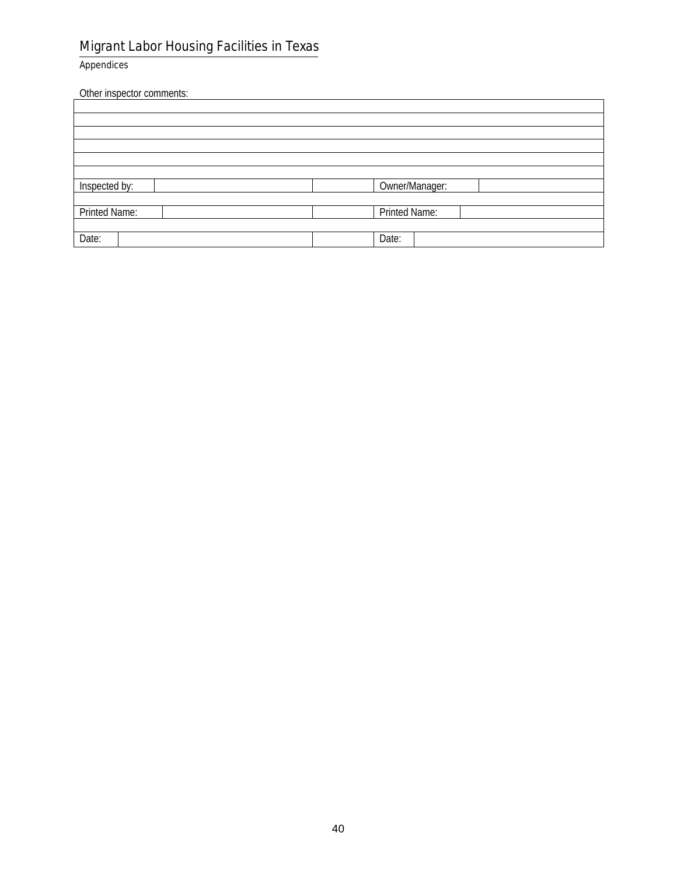*Appendices* 

Other inspector comments:

| Inspected by: | Owner/Manager:       |  |  |
|---------------|----------------------|--|--|
|               |                      |  |  |
| Printed Name: | <b>Printed Name:</b> |  |  |
|               |                      |  |  |
| Date:         | Date:                |  |  |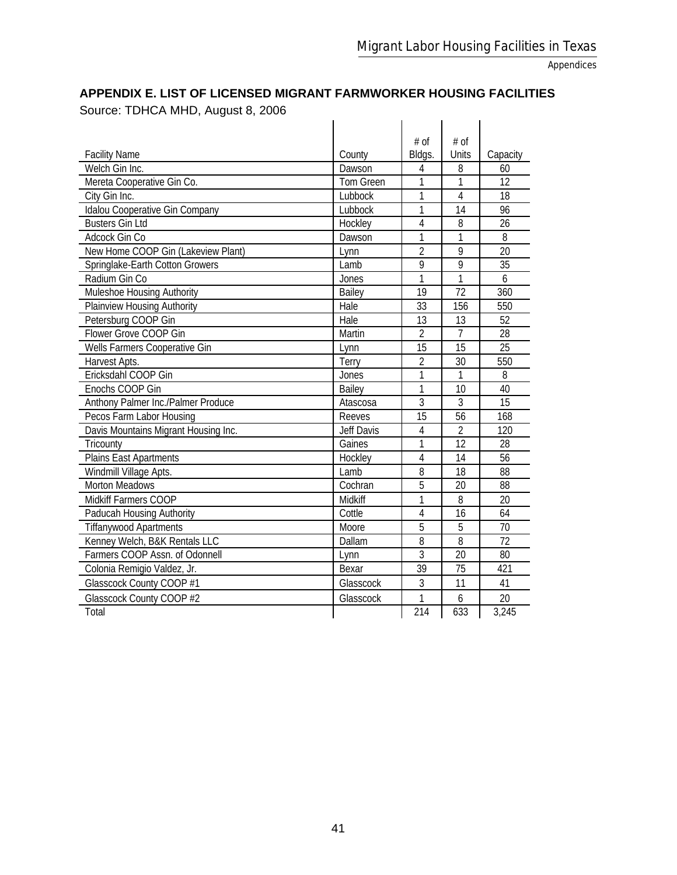# **APPENDIX E. LIST OF LICENSED MIGRANT FARMWORKER HOUSING FACILITIES**

Source: TDHCA MHD, August 8, 2006

|                                       |                  | # of            | # of            |          |
|---------------------------------------|------------------|-----------------|-----------------|----------|
| <b>Facility Name</b>                  | County           | Bldgs.          | Units           | Capacity |
| Welch Gin Inc.                        | Dawson           | 4               | 8               | 60       |
| Mereta Cooperative Gin Co.            | <b>Tom Green</b> | 1               | $\overline{1}$  | 12       |
| City Gin Inc.                         | Lubbock          | $\mathbf{1}$    | $\overline{4}$  | 18       |
| <b>Idalou Cooperative Gin Company</b> | Lubbock          | $\mathbf{1}$    | 14              | 96       |
| <b>Busters Gin Ltd</b>                | Hockley          | 4               | 8               | 26       |
| Adcock Gin Co                         | Dawson           | 1               | 1               | 8        |
| New Home COOP Gin (Lakeview Plant)    | Lynn             | $\overline{2}$  | $\overline{9}$  | 20       |
| Springlake-Earth Cotton Growers       | Lamb             | 9               | 9               | 35       |
| Radium Gin Co                         | Jones            | $\mathbf{1}$    | $\mathbf{1}$    | 6        |
| Muleshoe Housing Authority            | Bailey           | 19              | 72              | 360      |
| <b>Plainview Housing Authority</b>    | Hale             | $\overline{33}$ | 156             | 550      |
| Petersburg COOP Gin                   | Hale             | 13              | 13              | 52       |
| Flower Grove COOP Gin                 | Martin           | $\overline{2}$  | $\overline{7}$  | 28       |
| Wells Farmers Cooperative Gin         | Lynn             | 15              | 15              | 25       |
| Harvest Apts.                         | Terry            | $\overline{2}$  | 30              | 550      |
| Ericksdahl COOP Gin                   | Jones            | $\mathbf{1}$    | $\mathbf{1}$    | 8        |
| Enochs COOP Gin                       | Bailey           | 1               | 10              | 40       |
| Anthony Palmer Inc./Palmer Produce    | Atascosa         | 3               | $\overline{3}$  | 15       |
| Pecos Farm Labor Housing              | Reeves           | 15              | 56              | 168      |
| Davis Mountains Migrant Housing Inc.  | Jeff Davis       | $\overline{4}$  | $\overline{2}$  | 120      |
| Tricounty                             | Gaines           | $\mathbf{1}$    | $\overline{12}$ | 28       |
| Plains East Apartments                | Hockley          | $\overline{4}$  | 14              | 56       |
| Windmill Village Apts.                | Lamb             | 8               | 18              | 88       |
| <b>Morton Meadows</b>                 | Cochran          | 5               | 20              | 88       |
| Midkiff Farmers COOP                  | Midkiff          | 1               | 8               | 20       |
| Paducah Housing Authority             | Cottle           | $\sqrt{4}$      | 16              | 64       |
| <b>Tiffanywood Apartments</b>         | Moore            | 5               | 5               | 70       |
| Kenney Welch, B&K Rentals LLC         | Dallam           | 8               | 8               | 72       |
| Farmers COOP Assn. of Odonnell        | Lynn             | $\overline{3}$  | 20              | 80       |
| Colonia Remigio Valdez, Jr.           | Bexar            | 39              | 75              | 421      |
| Glasscock County COOP #1              | Glasscock        | 3               | 11              | 41       |
| Glasscock County COOP #2              | Glasscock        | 1               | 6               | 20       |
| Total                                 |                  | 214             | 633             | 3,245    |